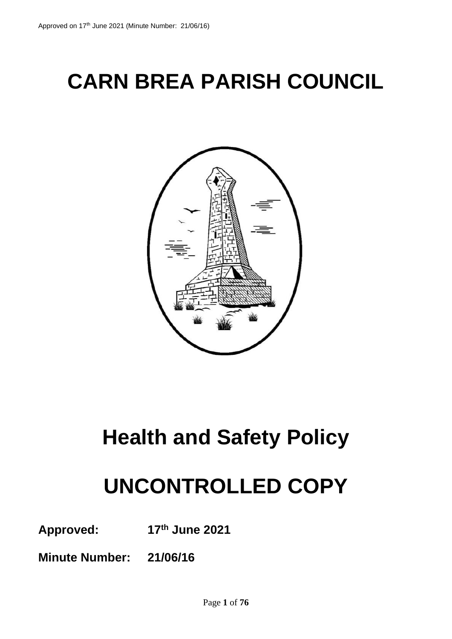## **CARN BREA PARISH COUNCIL**



### **Health and Safety Policy**

### **UNCONTROLLED COPY**

**Approved: 17th June 2021**

**Minute Number: 21/06/16**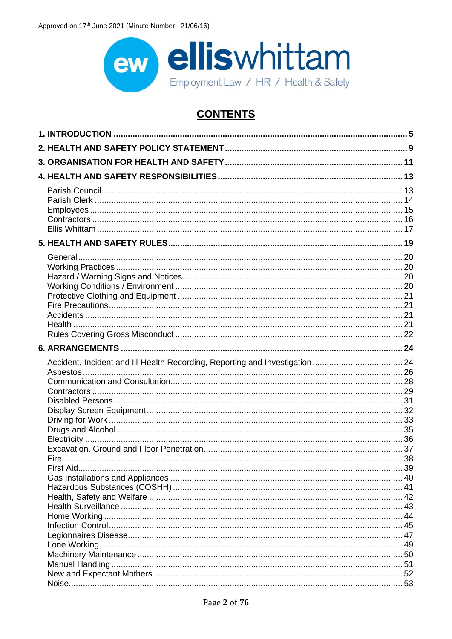

### **CONTENTS**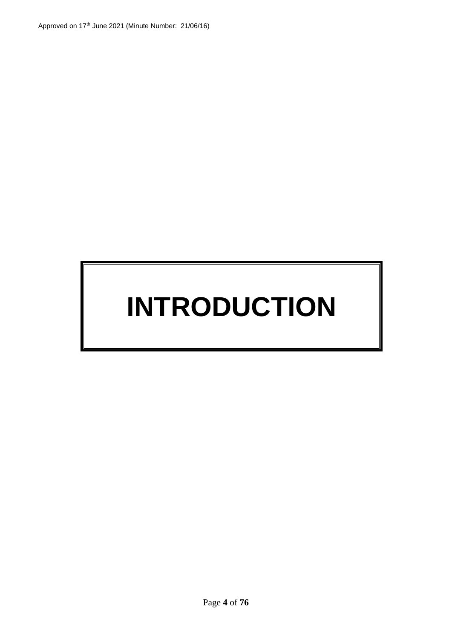## **INTRODUCTION**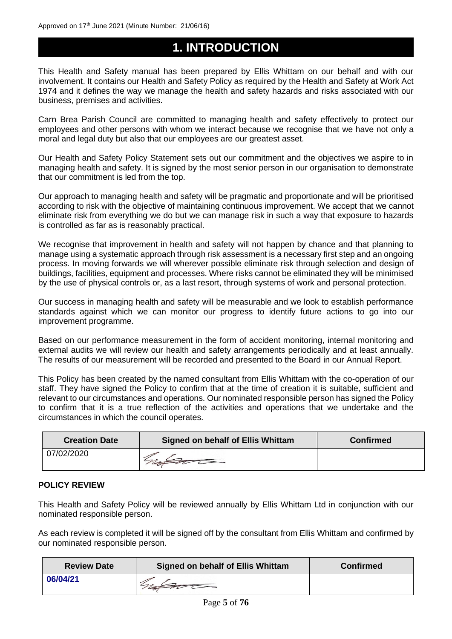### <span id="page-4-0"></span>**1. INTRODUCTION**

This Health and Safety manual has been prepared by Ellis Whittam on our behalf and with our involvement. It contains our Health and Safety Policy as required by the Health and Safety at Work Act 1974 and it defines the way we manage the health and safety hazards and risks associated with our business, premises and activities.

Carn Brea Parish Council are committed to managing health and safety effectively to protect our employees and other persons with whom we interact because we recognise that we have not only a moral and legal duty but also that our employees are our greatest asset.

Our Health and Safety Policy Statement sets out our commitment and the objectives we aspire to in managing health and safety. It is signed by the most senior person in our organisation to demonstrate that our commitment is led from the top.

Our approach to managing health and safety will be pragmatic and proportionate and will be prioritised according to risk with the objective of maintaining continuous improvement. We accept that we cannot eliminate risk from everything we do but we can manage risk in such a way that exposure to hazards is controlled as far as is reasonably practical.

We recognise that improvement in health and safety will not happen by chance and that planning to manage using a systematic approach through risk assessment is a necessary first step and an ongoing process. In moving forwards we will wherever possible eliminate risk through selection and design of buildings, facilities, equipment and processes. Where risks cannot be eliminated they will be minimised by the use of physical controls or, as a last resort, through systems of work and personal protection.

Our success in managing health and safety will be measurable and we look to establish performance standards against which we can monitor our progress to identify future actions to go into our improvement programme.

Based on our performance measurement in the form of accident monitoring, internal monitoring and external audits we will review our health and safety arrangements periodically and at least annually. The results of our measurement will be recorded and presented to the Board in our Annual Report.

This Policy has been created by the named consultant from Ellis Whittam with the co-operation of our staff. They have signed the Policy to confirm that at the time of creation it is suitable, sufficient and relevant to our circumstances and operations. Our nominated responsible person has signed the Policy to confirm that it is a true reflection of the activities and operations that we undertake and the circumstances in which the council operates.

| <b>Creation Date</b> | <b>Signed on behalf of Ellis Whittam</b> | <b>Confirmed</b> |
|----------------------|------------------------------------------|------------------|
| 07/02/2020           |                                          |                  |

### **POLICY REVIEW**

This Health and Safety Policy will be reviewed annually by Ellis Whittam Ltd in conjunction with our nominated responsible person.

As each review is completed it will be signed off by the consultant from Ellis Whittam and confirmed by our nominated responsible person.

| <b>Review Date</b> | <b>Signed on behalf of Ellis Whittam</b> | <b>Confirmed</b> |  |
|--------------------|------------------------------------------|------------------|--|
| 06/04/21           |                                          |                  |  |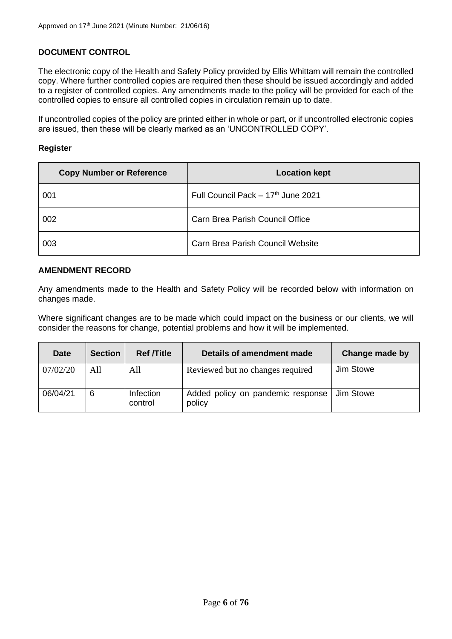### **DOCUMENT CONTROL**

The electronic copy of the Health and Safety Policy provided by Ellis Whittam will remain the controlled copy. Where further controlled copies are required then these should be issued accordingly and added to a register of controlled copies. Any amendments made to the policy will be provided for each of the controlled copies to ensure all controlled copies in circulation remain up to date.

If uncontrolled copies of the policy are printed either in whole or part, or if uncontrolled electronic copies are issued, then these will be clearly marked as an 'UNCONTROLLED COPY'.

### **Register**

| <b>Copy Number or Reference</b> | <b>Location kept</b>                    |
|---------------------------------|-----------------------------------------|
| 001                             | Full Council Pack - 17th June 2021      |
| 002                             | Carn Brea Parish Council Office         |
| 003                             | <b>Carn Brea Parish Council Website</b> |

### **AMENDMENT RECORD**

Any amendments made to the Health and Safety Policy will be recorded below with information on changes made.

Where significant changes are to be made which could impact on the business or our clients, we will consider the reasons for change, potential problems and how it will be implemented.

| <b>Date</b> | <b>Section</b> | <b>Ref</b> <i>T</i> itle | Details of amendment made                   | Change made by |
|-------------|----------------|--------------------------|---------------------------------------------|----------------|
| 07/02/20    | All            | All                      | Reviewed but no changes required            | Jim Stowe      |
| 06/04/21    | 6              | Infection<br>control     | Added policy on pandemic response<br>policy | Jim Stowe      |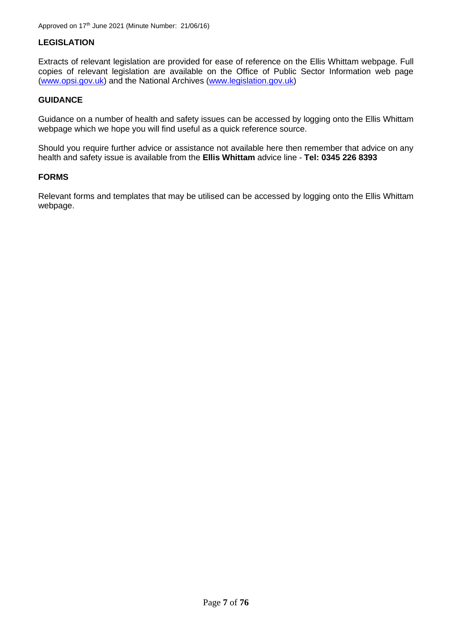### **LEGISLATION**

Extracts of relevant legislation are provided for ease of reference on the Ellis Whittam webpage. Full copies of relevant legislation are available on the Office of Public Sector Information web page [\(www.opsi.gov.uk\)](http://www.opsi.gov.uk/) and the National Archives [\(www.legislation.gov.uk\)](http://www.legislation.gov.uk/)

### **GUIDANCE**

Guidance on a number of health and safety issues can be accessed by logging onto the Ellis Whittam webpage which we hope you will find useful as a quick reference source.

Should you require further advice or assistance not available here then remember that advice on any health and safety issue is available from the **Ellis Whittam** advice line - **Tel: 0345 226 8393**

### **FORMS**

Relevant forms and templates that may be utilised can be accessed by logging onto the Ellis Whittam webpage.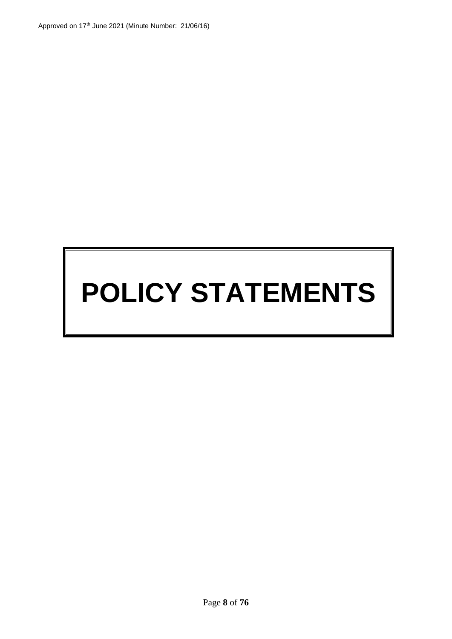# **POLICY STATEMENTS**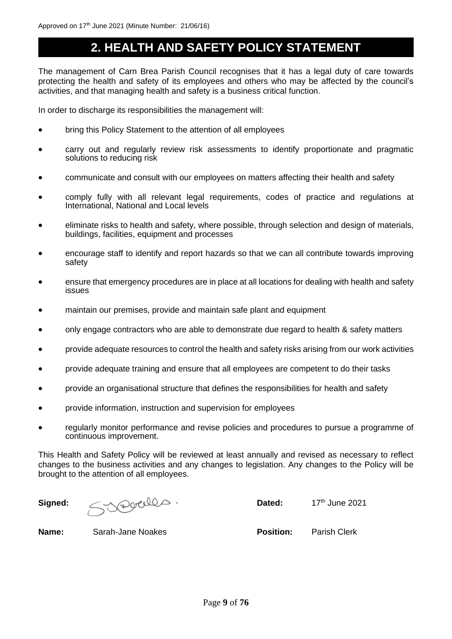### <span id="page-8-0"></span>**2. HEALTH AND SAFETY POLICY STATEMENT**

The management of Carn Brea Parish Council recognises that it has a legal duty of care towards protecting the health and safety of its employees and others who may be affected by the council's activities, and that managing health and safety is a business critical function.

In order to discharge its responsibilities the management will:

- bring this Policy Statement to the attention of all employees
- carry out and regularly review risk assessments to identify proportionate and pragmatic solutions to reducing risk
- communicate and consult with our employees on matters affecting their health and safety
- comply fully with all relevant legal requirements, codes of practice and regulations at International, National and Local levels
- eliminate risks to health and safety, where possible, through selection and design of materials, buildings, facilities, equipment and processes
- encourage staff to identify and report hazards so that we can all contribute towards improving safety
- ensure that emergency procedures are in place at all locations for dealing with health and safety issues
- maintain our premises, provide and maintain safe plant and equipment
- only engage contractors who are able to demonstrate due regard to health & safety matters
- provide adequate resources to control the health and safety risks arising from our work activities
- provide adequate training and ensure that all employees are competent to do their tasks
- provide an organisational structure that defines the responsibilities for health and safety
- provide information, instruction and supervision for employees
- regularly monitor performance and revise policies and procedures to pursue a programme of continuous improvement.

This Health and Safety Policy will be reviewed at least annually and revised as necessary to reflect changes to the business activities and any changes to legislation. Any changes to the Policy will be brought to the attention of all employees.

Signed: <del>Syncelles</del> . Dated: 17th June 2021

**Name:** Sarah-Jane Noakes **Position:** Parish Clerk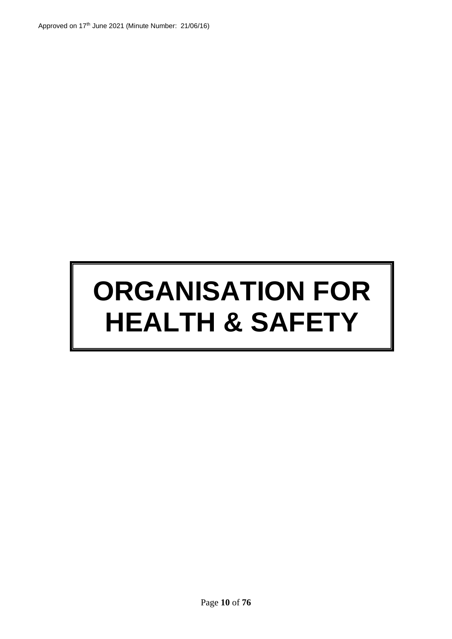# **ORGANISATION FOR HEALTH & SAFETY**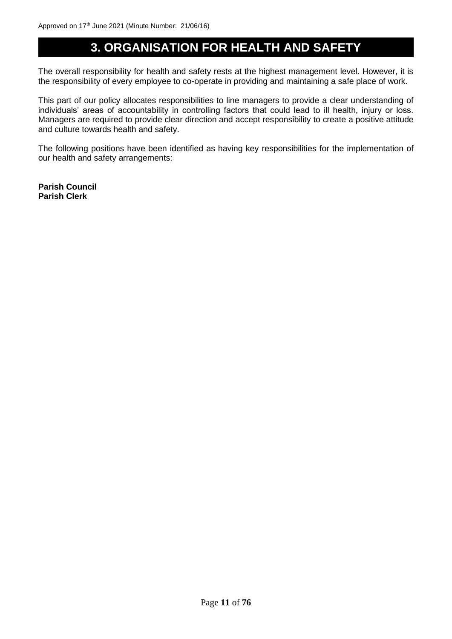### <span id="page-10-0"></span>**3. ORGANISATION FOR HEALTH AND SAFETY**

The overall responsibility for health and safety rests at the highest management level. However, it is the responsibility of every employee to co-operate in providing and maintaining a safe place of work.

This part of our policy allocates responsibilities to line managers to provide a clear understanding of individuals' areas of accountability in controlling factors that could lead to ill health, injury or loss. Managers are required to provide clear direction and accept responsibility to create a positive attitude and culture towards health and safety.

The following positions have been identified as having key responsibilities for the implementation of our health and safety arrangements:

**Parish Council Parish Clerk**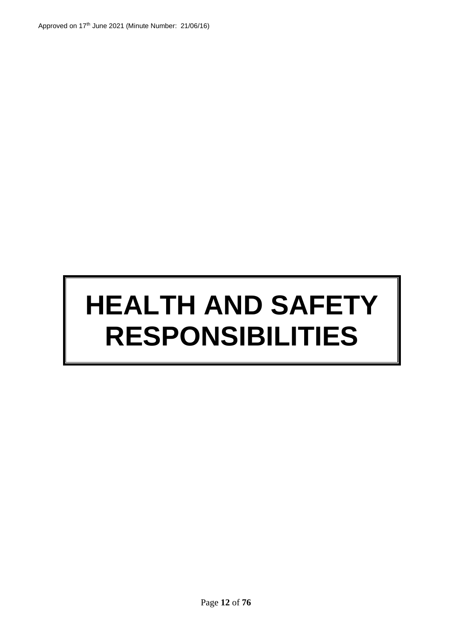# **HEALTH AND SAFETY RESPONSIBILITIES**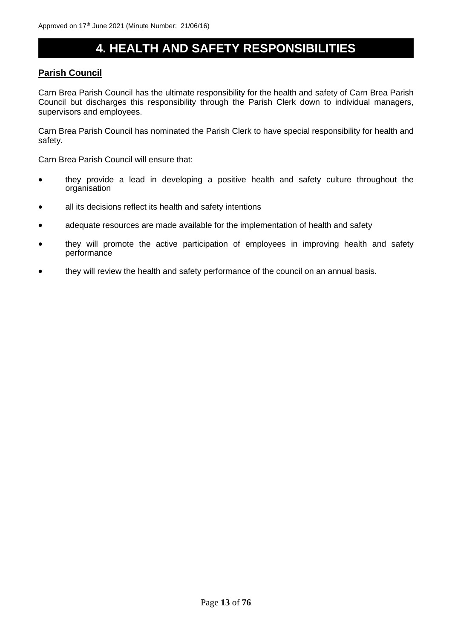### <span id="page-12-0"></span>**4. HEALTH AND SAFETY RESPONSIBILITIES**

### <span id="page-12-1"></span>**Parish Council**

Carn Brea Parish Council has the ultimate responsibility for the health and safety of Carn Brea Parish Council but discharges this responsibility through the Parish Clerk down to individual managers, supervisors and employees.

Carn Brea Parish Council has nominated the Parish Clerk to have special responsibility for health and safety.

Carn Brea Parish Council will ensure that:

- they provide a lead in developing a positive health and safety culture throughout the organisation
- all its decisions reflect its health and safety intentions
- adequate resources are made available for the implementation of health and safety
- they will promote the active participation of employees in improving health and safety performance
- they will review the health and safety performance of the council on an annual basis.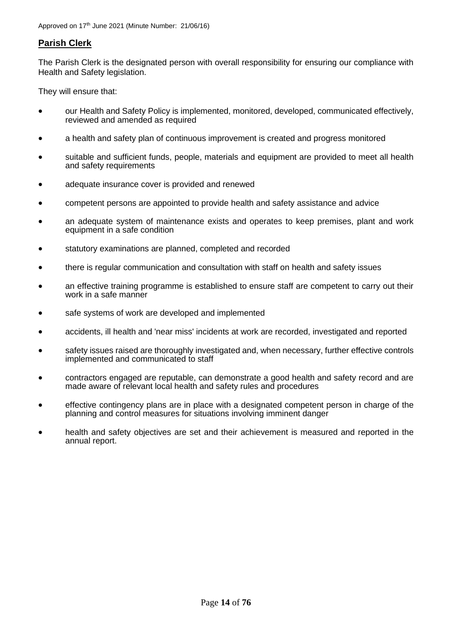### <span id="page-13-0"></span>**Parish Clerk**

The Parish Clerk is the designated person with overall responsibility for ensuring our compliance with Health and Safety legislation.

They will ensure that:

- our Health and Safety Policy is implemented, monitored, developed, communicated effectively, reviewed and amended as required
- a health and safety plan of continuous improvement is created and progress monitored
- suitable and sufficient funds, people, materials and equipment are provided to meet all health and safety requirements
- adequate insurance cover is provided and renewed
- competent persons are appointed to provide health and safety assistance and advice
- an adequate system of maintenance exists and operates to keep premises, plant and work equipment in a safe condition
- statutory examinations are planned, completed and recorded
- there is regular communication and consultation with staff on health and safety issues
- an effective training programme is established to ensure staff are competent to carry out their work in a safe manner
- safe systems of work are developed and implemented
- accidents, ill health and 'near miss' incidents at work are recorded, investigated and reported
- safety issues raised are thoroughly investigated and, when necessary, further effective controls implemented and communicated to staff
- contractors engaged are reputable, can demonstrate a good health and safety record and are made aware of relevant local health and safety rules and procedures
- effective contingency plans are in place with a designated competent person in charge of the planning and control measures for situations involving imminent danger
- health and safety objectives are set and their achievement is measured and reported in the annual report.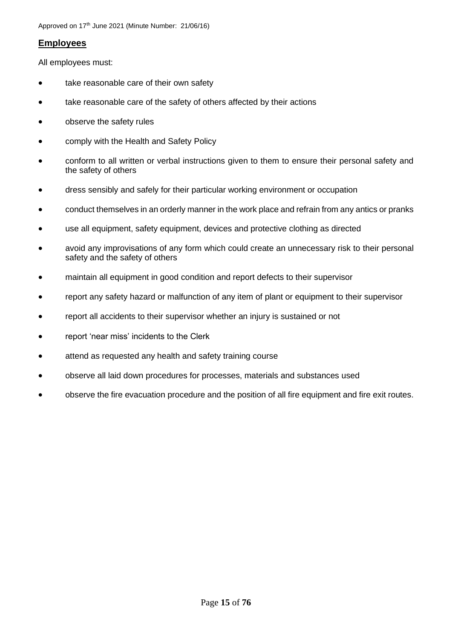### <span id="page-14-0"></span>**Employees**

All employees must:

- take reasonable care of their own safety
- take reasonable care of the safety of others affected by their actions
- observe the safety rules
- comply with the Health and Safety Policy
- conform to all written or verbal instructions given to them to ensure their personal safety and the safety of others
- dress sensibly and safely for their particular working environment or occupation
- conduct themselves in an orderly manner in the work place and refrain from any antics or pranks
- use all equipment, safety equipment, devices and protective clothing as directed
- avoid any improvisations of any form which could create an unnecessary risk to their personal safety and the safety of others
- maintain all equipment in good condition and report defects to their supervisor
- report any safety hazard or malfunction of any item of plant or equipment to their supervisor
- report all accidents to their supervisor whether an injury is sustained or not
- report 'near miss' incidents to the Clerk
- attend as requested any health and safety training course
- observe all laid down procedures for processes, materials and substances used
- observe the fire evacuation procedure and the position of all fire equipment and fire exit routes.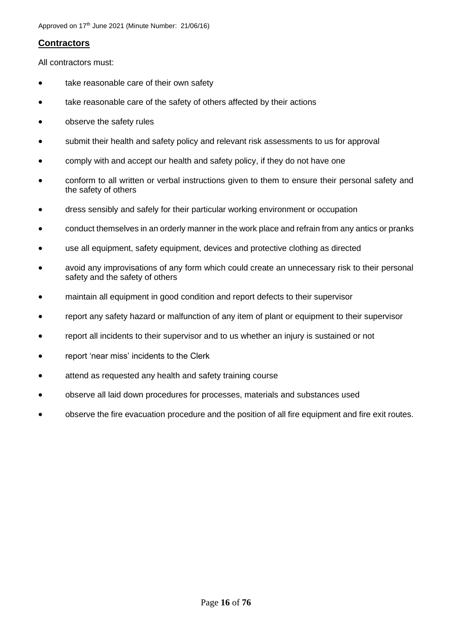### <span id="page-15-0"></span>**Contractors**

All contractors must:

- take reasonable care of their own safety
- take reasonable care of the safety of others affected by their actions
- observe the safety rules
- submit their health and safety policy and relevant risk assessments to us for approval
- comply with and accept our health and safety policy, if they do not have one
- conform to all written or verbal instructions given to them to ensure their personal safety and the safety of others
- dress sensibly and safely for their particular working environment or occupation
- conduct themselves in an orderly manner in the work place and refrain from any antics or pranks
- use all equipment, safety equipment, devices and protective clothing as directed
- avoid any improvisations of any form which could create an unnecessary risk to their personal safety and the safety of others
- maintain all equipment in good condition and report defects to their supervisor
- report any safety hazard or malfunction of any item of plant or equipment to their supervisor
- report all incidents to their supervisor and to us whether an injury is sustained or not
- report 'near miss' incidents to the Clerk
- attend as requested any health and safety training course
- observe all laid down procedures for processes, materials and substances used
- observe the fire evacuation procedure and the position of all fire equipment and fire exit routes.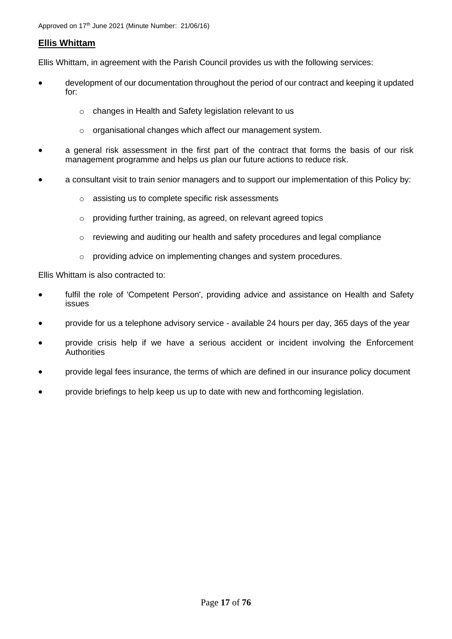### <span id="page-16-0"></span>**Ellis Whittam**

Ellis Whittam, in agreement with the Parish Council provides us with the following services:

- development of our documentation throughout the period of our contract and keeping it updated for:
	- o changes in Health and Safety legislation relevant to us
	- o organisational changes which affect our management system.
- a general risk assessment in the first part of the contract that forms the basis of our risk management programme and helps us plan our future actions to reduce risk.
- a consultant visit to train senior managers and to support our implementation of this Policy by:
	- o assisting us to complete specific risk assessments
	- o providing further training, as agreed, on relevant agreed topics
	- $\circ$  reviewing and auditing our health and safety procedures and legal compliance
	- o providing advice on implementing changes and system procedures.

Ellis Whittam is also contracted to:

- fulfil the role of 'Competent Person', providing advice and assistance on Health and Safety issues
- provide for us a telephone advisory service available 24 hours per day, 365 days of the year
- provide crisis help if we have a serious accident or incident involving the Enforcement **Authorities**
- provide legal fees insurance, the terms of which are defined in our insurance policy document
- provide briefings to help keep us up to date with new and forthcoming legislation.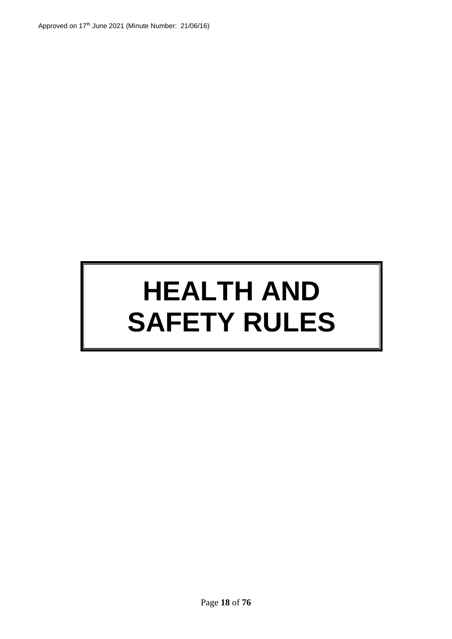# **HEALTH AND SAFETY RULES**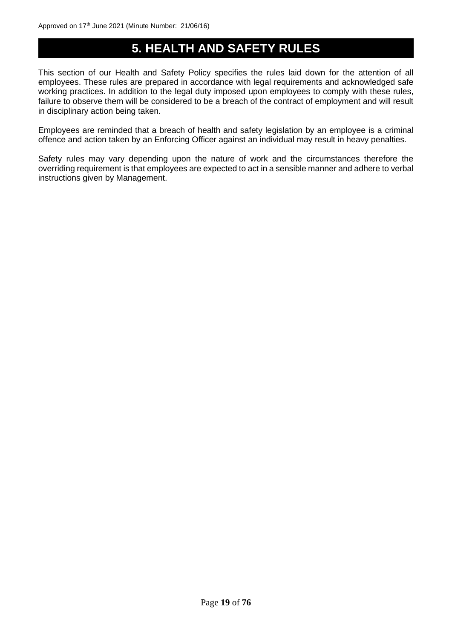### <span id="page-18-0"></span>**5. HEALTH AND SAFETY RULES**

This section of our Health and Safety Policy specifies the rules laid down for the attention of all employees. These rules are prepared in accordance with legal requirements and acknowledged safe working practices. In addition to the legal duty imposed upon employees to comply with these rules, failure to observe them will be considered to be a breach of the contract of employment and will result in disciplinary action being taken.

Employees are reminded that a breach of health and safety legislation by an employee is a criminal offence and action taken by an Enforcing Officer against an individual may result in heavy penalties.

Safety rules may vary depending upon the nature of work and the circumstances therefore the overriding requirement is that employees are expected to act in a sensible manner and adhere to verbal instructions given by Management.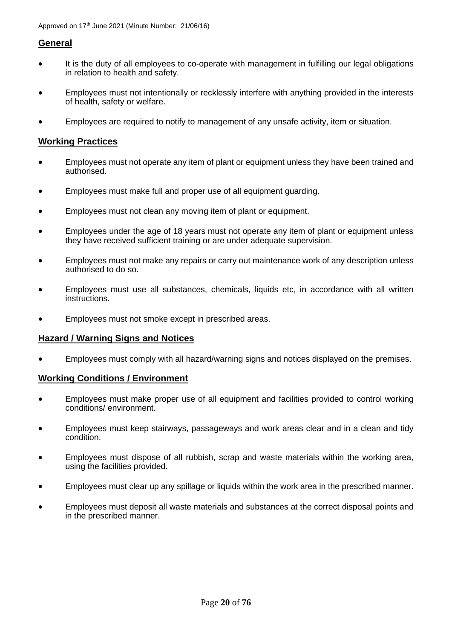### <span id="page-19-0"></span>**General**

- It is the duty of all employees to co-operate with management in fulfilling our legal obligations in relation to health and safety.
- Employees must not intentionally or recklessly interfere with anything provided in the interests of health, safety or welfare.
- Employees are required to notify to management of any unsafe activity, item or situation.

### <span id="page-19-1"></span>**Working Practices**

- Employees must not operate any item of plant or equipment unless they have been trained and authorised.
- Employees must make full and proper use of all equipment guarding.
- Employees must not clean any moving item of plant or equipment.
- Employees under the age of 18 years must not operate any item of plant or equipment unless they have received sufficient training or are under adequate supervision.
- Employees must not make any repairs or carry out maintenance work of any description unless authorised to do so.
- Employees must use all substances, chemicals, liquids etc, in accordance with all written instructions.
- Employees must not smoke except in prescribed areas.

### <span id="page-19-2"></span>**Hazard / Warning Signs and Notices**

• Employees must comply with all hazard/warning signs and notices displayed on the premises.

### <span id="page-19-3"></span>**Working Conditions / Environment**

- Employees must make proper use of all equipment and facilities provided to control working conditions/ environment.
- Employees must keep stairways, passageways and work areas clear and in a clean and tidy condition.
- Employees must dispose of all rubbish, scrap and waste materials within the working area, using the facilities provided.
- Employees must clear up any spillage or liquids within the work area in the prescribed manner.
- Employees must deposit all waste materials and substances at the correct disposal points and in the prescribed manner.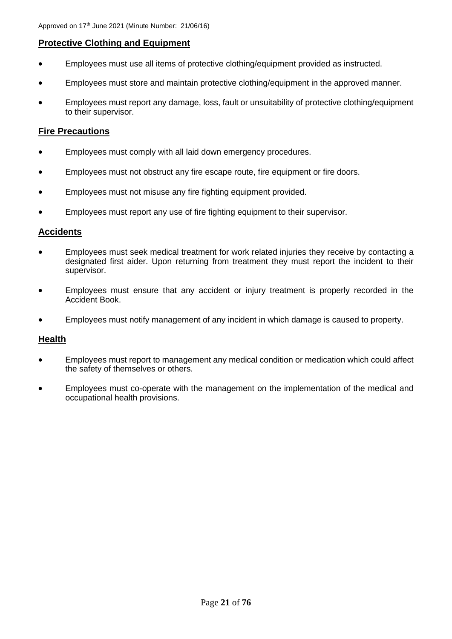### <span id="page-20-0"></span>**Protective Clothing and Equipment**

- Employees must use all items of protective clothing/equipment provided as instructed.
- Employees must store and maintain protective clothing/equipment in the approved manner.
- Employees must report any damage, loss, fault or unsuitability of protective clothing/equipment to their supervisor.

### <span id="page-20-1"></span>**Fire Precautions**

- Employees must comply with all laid down emergency procedures.
- Employees must not obstruct any fire escape route, fire equipment or fire doors.
- Employees must not misuse any fire fighting equipment provided.
- Employees must report any use of fire fighting equipment to their supervisor.

### <span id="page-20-2"></span>**Accidents**

- Employees must seek medical treatment for work related injuries they receive by contacting a designated first aider. Upon returning from treatment they must report the incident to their supervisor.
- Employees must ensure that any accident or injury treatment is properly recorded in the Accident Book.
- Employees must notify management of any incident in which damage is caused to property.

### <span id="page-20-3"></span>**Health**

- Employees must report to management any medical condition or medication which could affect the safety of themselves or others.
- Employees must co-operate with the management on the implementation of the medical and occupational health provisions.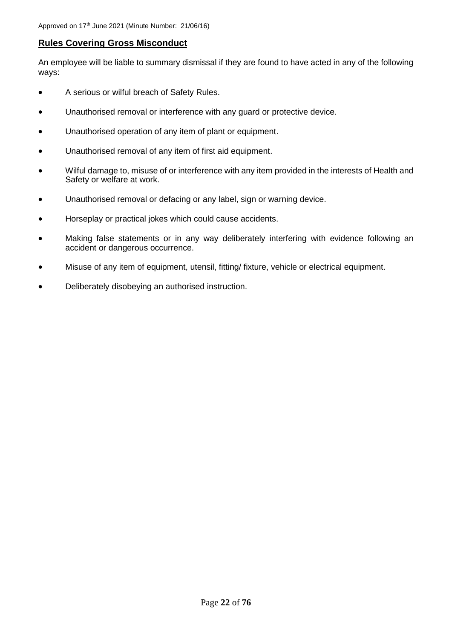### <span id="page-21-0"></span>**Rules Covering Gross Misconduct**

An employee will be liable to summary dismissal if they are found to have acted in any of the following ways:

- A serious or wilful breach of Safety Rules.
- Unauthorised removal or interference with any guard or protective device.
- Unauthorised operation of any item of plant or equipment.
- Unauthorised removal of any item of first aid equipment.
- Wilful damage to, misuse of or interference with any item provided in the interests of Health and Safety or welfare at work.
- Unauthorised removal or defacing or any label, sign or warning device.
- Horseplay or practical jokes which could cause accidents.
- Making false statements or in any way deliberately interfering with evidence following an accident or dangerous occurrence.
- Misuse of any item of equipment, utensil, fitting/ fixture, vehicle or electrical equipment.
- Deliberately disobeying an authorised instruction.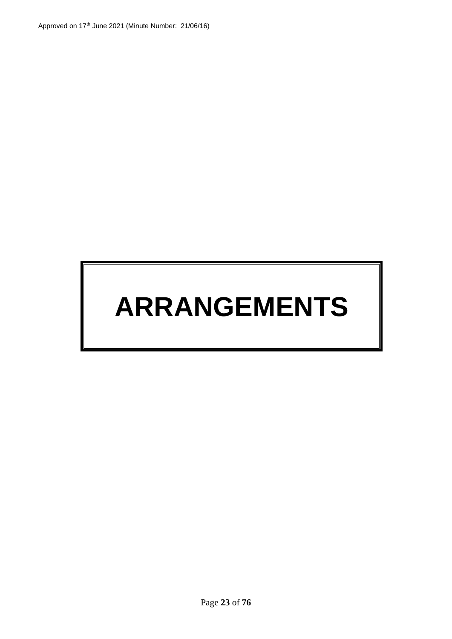## **ARRANGEMENTS**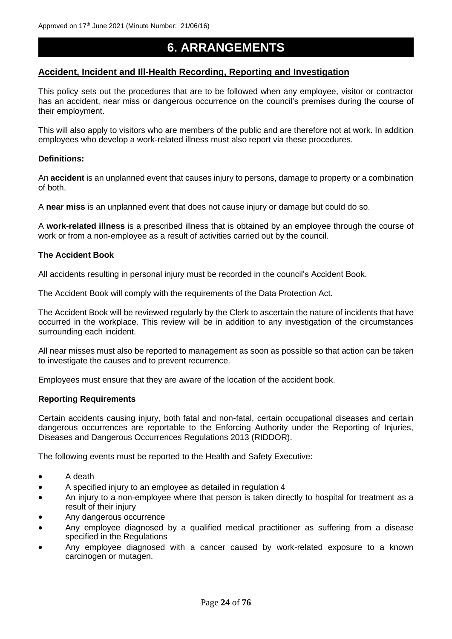### <span id="page-23-0"></span>**6. ARRANGEMENTS**

### <span id="page-23-1"></span>**Accident, Incident and Ill-Health Recording, Reporting and Investigation**

This policy sets out the procedures that are to be followed when any employee, visitor or contractor has an accident, near miss or dangerous occurrence on the council's premises during the course of their employment.

This will also apply to visitors who are members of the public and are therefore not at work. In addition employees who develop a work-related illness must also report via these procedures.

### **Definitions:**

An **accident** is an unplanned event that causes injury to persons, damage to property or a combination of both.

A **near miss** is an unplanned event that does not cause injury or damage but could do so.

A **work-related illness** is a prescribed illness that is obtained by an employee through the course of work or from a non-employee as a result of activities carried out by the council.

### **The Accident Book**

All accidents resulting in personal injury must be recorded in the council's Accident Book.

The Accident Book will comply with the requirements of the Data Protection Act.

The Accident Book will be reviewed regularly by the Clerk to ascertain the nature of incidents that have occurred in the workplace. This review will be in addition to any investigation of the circumstances surrounding each incident.

All near misses must also be reported to management as soon as possible so that action can be taken to investigate the causes and to prevent recurrence.

Employees must ensure that they are aware of the location of the accident book.

### **Reporting Requirements**

Certain accidents causing injury, both fatal and non-fatal, certain occupational diseases and certain dangerous occurrences are reportable to the Enforcing Authority under the Reporting of Injuries, Diseases and Dangerous Occurrences Regulations 2013 (RIDDOR).

The following events must be reported to the Health and Safety Executive:

- A death
- A specified injury to an employee as detailed in regulation 4
- An injury to a non-employee where that person is taken directly to hospital for treatment as a result of their injury
- Any dangerous occurrence
- Any employee diagnosed by a qualified medical practitioner as suffering from a disease specified in the Regulations
- Any employee diagnosed with a cancer caused by work-related exposure to a known carcinogen or mutagen.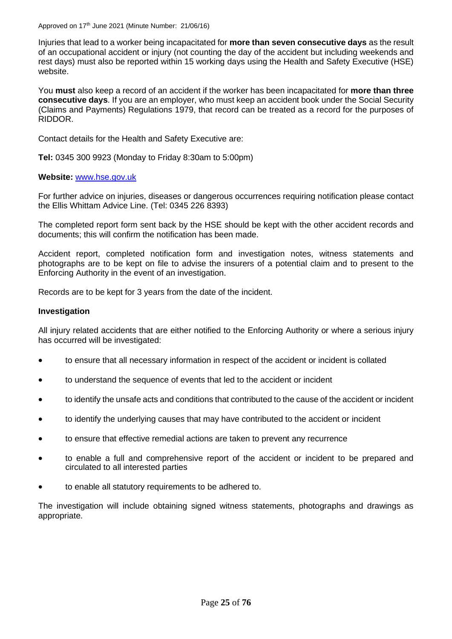Approved on 17<sup>th</sup> June 2021 (Minute Number: 21/06/16)

Injuries that lead to a worker being incapacitated for **more than seven consecutive days** as the result of an occupational accident or injury (not counting the day of the accident but including weekends and rest days) must also be reported within 15 working days using the Health and Safety Executive (HSE) website.

You **must** also keep a record of an accident if the worker has been incapacitated for **more than three consecutive days**. If you are an employer, who must keep an accident book under the Social Security (Claims and Payments) Regulations 1979, that record can be treated as a record for the purposes of RIDDOR.

Contact details for the Health and Safety Executive are:

**Tel:** 0345 300 9923 (Monday to Friday 8:30am to 5:00pm)

### **Website:** [www.hse.gov.uk](http://www.hse.gov.uk/)

For further advice on injuries, diseases or dangerous occurrences requiring notification please contact the Ellis Whittam Advice Line. (Tel: 0345 226 8393)

The completed report form sent back by the HSE should be kept with the other accident records and documents; this will confirm the notification has been made.

Accident report, completed notification form and investigation notes, witness statements and photographs are to be kept on file to advise the insurers of a potential claim and to present to the Enforcing Authority in the event of an investigation.

Records are to be kept for 3 years from the date of the incident.

### **Investigation**

All injury related accidents that are either notified to the Enforcing Authority or where a serious injury has occurred will be investigated:

- to ensure that all necessary information in respect of the accident or incident is collated
- to understand the sequence of events that led to the accident or incident
- to identify the unsafe acts and conditions that contributed to the cause of the accident or incident
- to identify the underlying causes that may have contributed to the accident or incident
- to ensure that effective remedial actions are taken to prevent any recurrence
- to enable a full and comprehensive report of the accident or incident to be prepared and circulated to all interested parties
- to enable all statutory requirements to be adhered to.

The investigation will include obtaining signed witness statements, photographs and drawings as appropriate.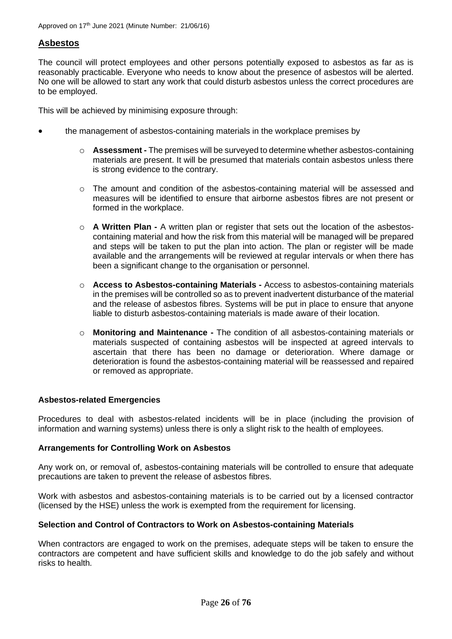### <span id="page-25-0"></span>**Asbestos**

The council will protect employees and other persons potentially exposed to asbestos as far as is reasonably practicable. Everyone who needs to know about the presence of asbestos will be alerted. No one will be allowed to start any work that could disturb asbestos unless the correct procedures are to be employed.

This will be achieved by minimising exposure through:

- the management of asbestos-containing materials in the workplace premises by
	- o **Assessment -** The premises will be surveyed to determine whether asbestos-containing materials are present. It will be presumed that materials contain asbestos unless there is strong evidence to the contrary.
	- $\circ$  The amount and condition of the asbestos-containing material will be assessed and measures will be identified to ensure that airborne asbestos fibres are not present or formed in the workplace.
	- o **A Written Plan -** A written plan or register that sets out the location of the asbestoscontaining material and how the risk from this material will be managed will be prepared and steps will be taken to put the plan into action. The plan or register will be made available and the arrangements will be reviewed at regular intervals or when there has been a significant change to the organisation or personnel.
	- o **Access to Asbestos-containing Materials -** Access to asbestos-containing materials in the premises will be controlled so as to prevent inadvertent disturbance of the material and the release of asbestos fibres. Systems will be put in place to ensure that anyone liable to disturb asbestos-containing materials is made aware of their location.
	- o **Monitoring and Maintenance -** The condition of all asbestos-containing materials or materials suspected of containing asbestos will be inspected at agreed intervals to ascertain that there has been no damage or deterioration. Where damage or deterioration is found the asbestos-containing material will be reassessed and repaired or removed as appropriate.

### **Asbestos-related Emergencies**

Procedures to deal with asbestos-related incidents will be in place (including the provision of information and warning systems) unless there is only a slight risk to the health of employees.

### **Arrangements for Controlling Work on Asbestos**

Any work on, or removal of, asbestos-containing materials will be controlled to ensure that adequate precautions are taken to prevent the release of asbestos fibres.

Work with asbestos and asbestos-containing materials is to be carried out by a licensed contractor (licensed by the HSE) unless the work is exempted from the requirement for licensing.

### **Selection and Control of Contractors to Work on Asbestos-containing Materials**

When contractors are engaged to work on the premises, adequate steps will be taken to ensure the contractors are competent and have sufficient skills and knowledge to do the job safely and without risks to health.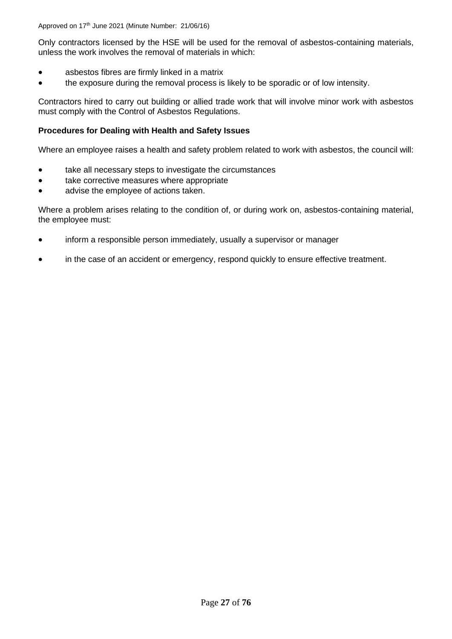Only contractors licensed by the HSE will be used for the removal of asbestos-containing materials, unless the work involves the removal of materials in which:

- asbestos fibres are firmly linked in a matrix
- the exposure during the removal process is likely to be sporadic or of low intensity.

Contractors hired to carry out building or allied trade work that will involve minor work with asbestos must comply with the Control of Asbestos Regulations.

### **Procedures for Dealing with Health and Safety Issues**

Where an employee raises a health and safety problem related to work with asbestos, the council will:

- take all necessary steps to investigate the circumstances
- take corrective measures where appropriate
- advise the employee of actions taken.

Where a problem arises relating to the condition of, or during work on, asbestos-containing material, the employee must:

- inform a responsible person immediately, usually a supervisor or manager
- in the case of an accident or emergency, respond quickly to ensure effective treatment.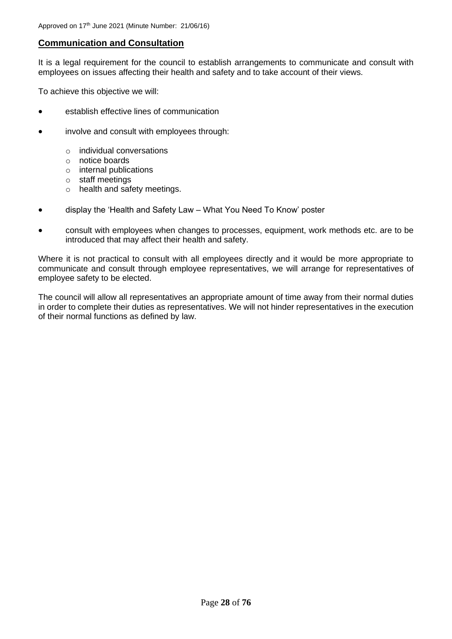### <span id="page-27-0"></span>**Communication and Consultation**

It is a legal requirement for the council to establish arrangements to communicate and consult with employees on issues affecting their health and safety and to take account of their views.

To achieve this objective we will:

- establish effective lines of communication
- involve and consult with employees through:
	- o individual conversations
	- o notice boards
	- o internal publications
	- o staff meetings
	- o health and safety meetings.
- display the 'Health and Safety Law What You Need To Know' poster
- consult with employees when changes to processes, equipment, work methods etc. are to be introduced that may affect their health and safety.

Where it is not practical to consult with all employees directly and it would be more appropriate to communicate and consult through employee representatives, we will arrange for representatives of employee safety to be elected.

The council will allow all representatives an appropriate amount of time away from their normal duties in order to complete their duties as representatives. We will not hinder representatives in the execution of their normal functions as defined by law.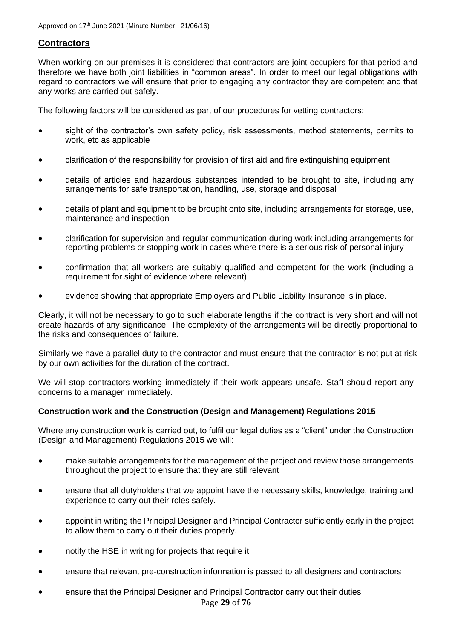### <span id="page-28-0"></span>**Contractors**

When working on our premises it is considered that contractors are joint occupiers for that period and therefore we have both joint liabilities in "common areas". In order to meet our legal obligations with regard to contractors we will ensure that prior to engaging any contractor they are competent and that any works are carried out safely.

The following factors will be considered as part of our procedures for vetting contractors:

- sight of the contractor's own safety policy, risk assessments, method statements, permits to work, etc as applicable
- clarification of the responsibility for provision of first aid and fire extinguishing equipment
- details of articles and hazardous substances intended to be brought to site, including any arrangements for safe transportation, handling, use, storage and disposal
- details of plant and equipment to be brought onto site, including arrangements for storage, use, maintenance and inspection
- clarification for supervision and regular communication during work including arrangements for reporting problems or stopping work in cases where there is a serious risk of personal injury
- confirmation that all workers are suitably qualified and competent for the work (including a requirement for sight of evidence where relevant)
- evidence showing that appropriate Employers and Public Liability Insurance is in place.

Clearly, it will not be necessary to go to such elaborate lengths if the contract is very short and will not create hazards of any significance. The complexity of the arrangements will be directly proportional to the risks and consequences of failure.

Similarly we have a parallel duty to the contractor and must ensure that the contractor is not put at risk by our own activities for the duration of the contract.

We will stop contractors working immediately if their work appears unsafe. Staff should report any concerns to a manager immediately.

### **Construction work and the Construction (Design and Management) Regulations 2015**

Where any construction work is carried out, to fulfil our legal duties as a "client" under the Construction (Design and Management) Regulations 2015 we will:

- make suitable arrangements for the management of the project and review those arrangements throughout the project to ensure that they are still relevant
- ensure that all dutyholders that we appoint have the necessary skills, knowledge, training and experience to carry out their roles safely.
- appoint in writing the Principal Designer and Principal Contractor sufficiently early in the project to allow them to carry out their duties properly.
- notify the HSE in writing for projects that require it
- ensure that relevant pre-construction information is passed to all designers and contractors
- Page **29** of **76** • ensure that the Principal Designer and Principal Contractor carry out their duties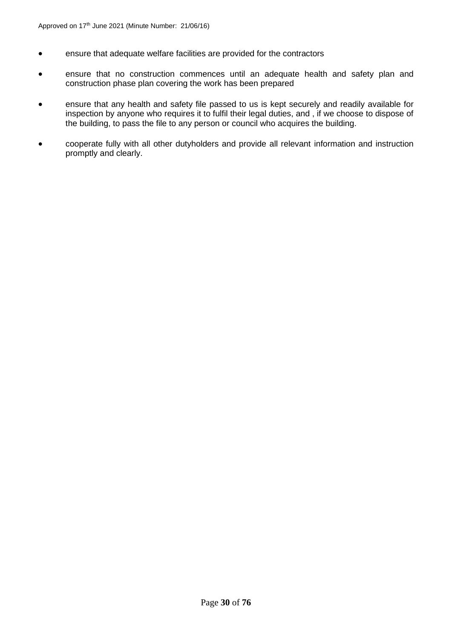- ensure that adequate welfare facilities are provided for the contractors
- ensure that no construction commences until an adequate health and safety plan and construction phase plan covering the work has been prepared
- ensure that any health and safety file passed to us is kept securely and readily available for inspection by anyone who requires it to fulfil their legal duties, and , if we choose to dispose of the building, to pass the file to any person or council who acquires the building.
- cooperate fully with all other dutyholders and provide all relevant information and instruction promptly and clearly.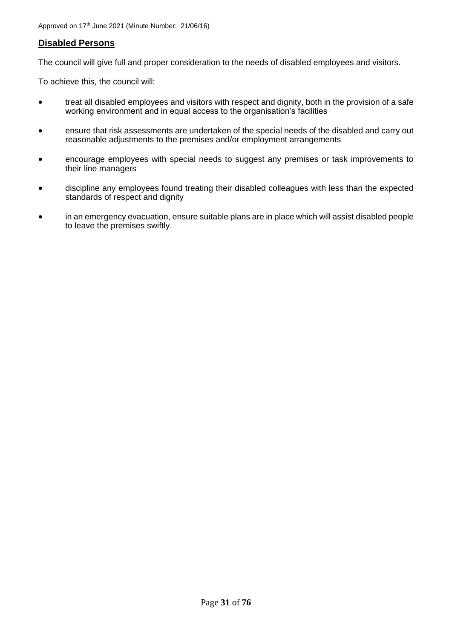### <span id="page-30-0"></span>**Disabled Persons**

The council will give full and proper consideration to the needs of disabled employees and visitors.

To achieve this, the council will:

- treat all disabled employees and visitors with respect and dignity, both in the provision of a safe working environment and in equal access to the organisation's facilities
- ensure that risk assessments are undertaken of the special needs of the disabled and carry out reasonable adjustments to the premises and/or employment arrangements
- encourage employees with special needs to suggest any premises or task improvements to their line managers
- discipline any employees found treating their disabled colleagues with less than the expected standards of respect and dignity
- in an emergency evacuation, ensure suitable plans are in place which will assist disabled people to leave the premises swiftly.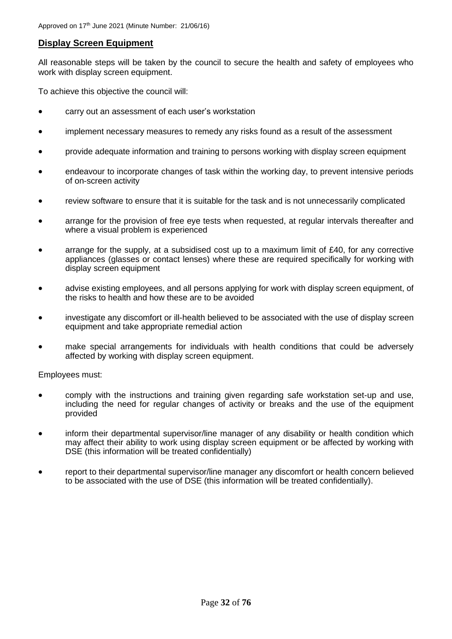### <span id="page-31-0"></span>**Display Screen Equipment**

All reasonable steps will be taken by the council to secure the health and safety of employees who work with display screen equipment.

To achieve this objective the council will:

- carry out an assessment of each user's workstation
- implement necessary measures to remedy any risks found as a result of the assessment
- provide adequate information and training to persons working with display screen equipment
- endeavour to incorporate changes of task within the working day, to prevent intensive periods of on-screen activity
- review software to ensure that it is suitable for the task and is not unnecessarily complicated
- arrange for the provision of free eye tests when requested, at regular intervals thereafter and where a visual problem is experienced
- arrange for the supply, at a subsidised cost up to a maximum limit of £40, for any corrective appliances (glasses or contact lenses) where these are required specifically for working with display screen equipment
- advise existing employees, and all persons applying for work with display screen equipment, of the risks to health and how these are to be avoided
- investigate any discomfort or ill-health believed to be associated with the use of display screen equipment and take appropriate remedial action
- make special arrangements for individuals with health conditions that could be adversely affected by working with display screen equipment.

Employees must:

- comply with the instructions and training given regarding safe workstation set-up and use, including the need for regular changes of activity or breaks and the use of the equipment provided
- inform their departmental supervisor/line manager of any disability or health condition which may affect their ability to work using display screen equipment or be affected by working with DSE (this information will be treated confidentially)
- report to their departmental supervisor/line manager any discomfort or health concern believed to be associated with the use of DSE (this information will be treated confidentially).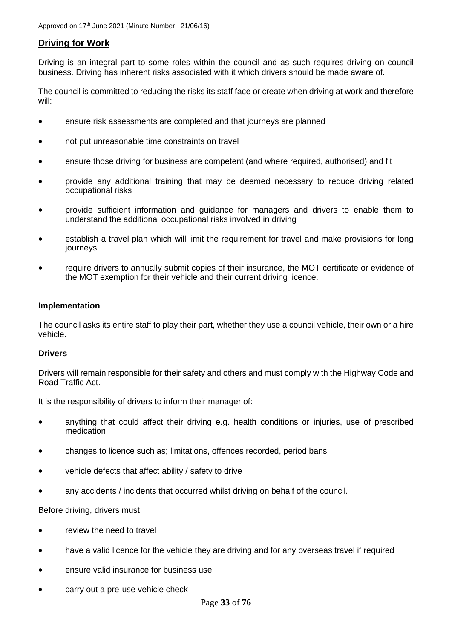### <span id="page-32-0"></span>**Driving for Work**

Driving is an integral part to some roles within the council and as such requires driving on council business. Driving has inherent risks associated with it which drivers should be made aware of.

The council is committed to reducing the risks its staff face or create when driving at work and therefore will:

- ensure risk assessments are completed and that journeys are planned
- not put unreasonable time constraints on travel
- ensure those driving for business are competent (and where required, authorised) and fit
- provide any additional training that may be deemed necessary to reduce driving related occupational risks
- provide sufficient information and guidance for managers and drivers to enable them to understand the additional occupational risks involved in driving
- establish a travel plan which will limit the requirement for travel and make provisions for long journeys
- require drivers to annually submit copies of their insurance, the MOT certificate or evidence of the MOT exemption for their vehicle and their current driving licence.

### **Implementation**

The council asks its entire staff to play their part, whether they use a council vehicle, their own or a hire vehicle.

### **Drivers**

Drivers will remain responsible for their safety and others and must comply with the Highway Code and Road Traffic Act.

It is the responsibility of drivers to inform their manager of:

- anything that could affect their driving e.g. health conditions or injuries, use of prescribed medication
- changes to licence such as; limitations, offences recorded, period bans
- vehicle defects that affect ability / safety to drive
- any accidents / incidents that occurred whilst driving on behalf of the council.

Before driving, drivers must

- review the need to travel
- have a valid licence for the vehicle they are driving and for any overseas travel if required
- ensure valid insurance for business use
- carry out a pre-use vehicle check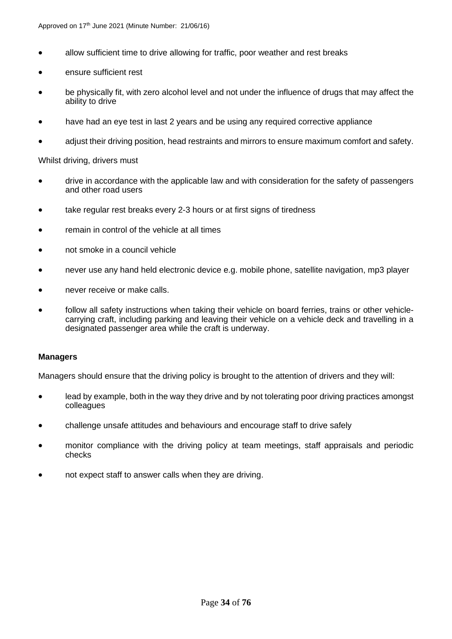- allow sufficient time to drive allowing for traffic, poor weather and rest breaks
- ensure sufficient rest
- be physically fit, with zero alcohol level and not under the influence of drugs that may affect the ability to drive
- have had an eye test in last 2 years and be using any required corrective appliance
- adjust their driving position, head restraints and mirrors to ensure maximum comfort and safety.

Whilst driving, drivers must

- drive in accordance with the applicable law and with consideration for the safety of passengers and other road users
- take regular rest breaks every 2-3 hours or at first signs of tiredness
- remain in control of the vehicle at all times
- not smoke in a council vehicle
- never use any hand held electronic device e.g. mobile phone, satellite navigation, mp3 player
- never receive or make calls.
- follow all safety instructions when taking their vehicle on board ferries, trains or other vehiclecarrying craft, including parking and leaving their vehicle on a vehicle deck and travelling in a designated passenger area while the craft is underway.

### **Managers**

Managers should ensure that the driving policy is brought to the attention of drivers and they will:

- lead by example, both in the way they drive and by not tolerating poor driving practices amongst colleagues
- challenge unsafe attitudes and behaviours and encourage staff to drive safely
- monitor compliance with the driving policy at team meetings, staff appraisals and periodic checks
- not expect staff to answer calls when they are driving.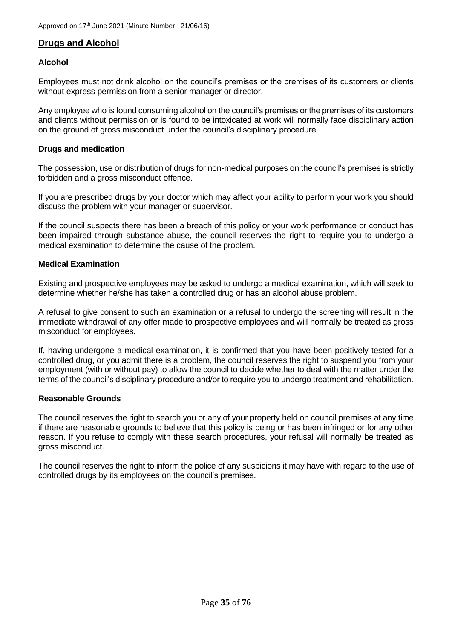### <span id="page-34-0"></span>**Drugs and Alcohol**

### **Alcohol**

Employees must not drink alcohol on the council's premises or the premises of its customers or clients without express permission from a senior manager or director.

Any employee who is found consuming alcohol on the council's premises or the premises of its customers and clients without permission or is found to be intoxicated at work will normally face disciplinary action on the ground of gross misconduct under the council's disciplinary procedure.

### **Drugs and medication**

The possession, use or distribution of drugs for non-medical purposes on the council's premises is strictly forbidden and a gross misconduct offence.

If you are prescribed drugs by your doctor which may affect your ability to perform your work you should discuss the problem with your manager or supervisor.

If the council suspects there has been a breach of this policy or your work performance or conduct has been impaired through substance abuse, the council reserves the right to require you to undergo a medical examination to determine the cause of the problem.

### **Medical Examination**

Existing and prospective employees may be asked to undergo a medical examination, which will seek to determine whether he/she has taken a controlled drug or has an alcohol abuse problem.

A refusal to give consent to such an examination or a refusal to undergo the screening will result in the immediate withdrawal of any offer made to prospective employees and will normally be treated as gross misconduct for employees.

If, having undergone a medical examination, it is confirmed that you have been positively tested for a controlled drug, or you admit there is a problem, the council reserves the right to suspend you from your employment (with or without pay) to allow the council to decide whether to deal with the matter under the terms of the council's disciplinary procedure and/or to require you to undergo treatment and rehabilitation.

### **Reasonable Grounds**

The council reserves the right to search you or any of your property held on council premises at any time if there are reasonable grounds to believe that this policy is being or has been infringed or for any other reason. If you refuse to comply with these search procedures, your refusal will normally be treated as gross misconduct.

The council reserves the right to inform the police of any suspicions it may have with regard to the use of controlled drugs by its employees on the council's premises.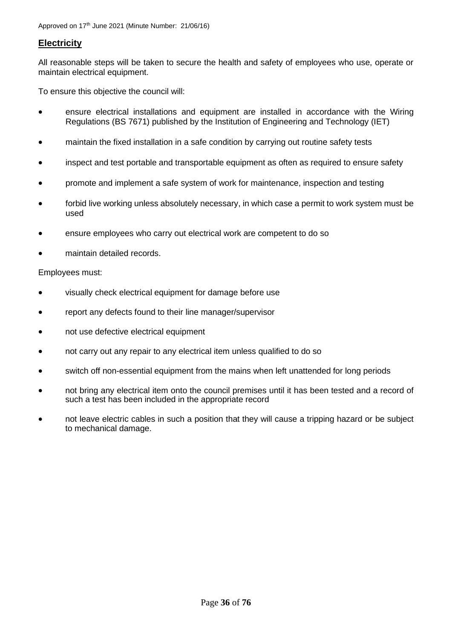### <span id="page-35-0"></span>**Electricity**

All reasonable steps will be taken to secure the health and safety of employees who use, operate or maintain electrical equipment.

To ensure this objective the council will:

- ensure electrical installations and equipment are installed in accordance with the Wiring Regulations (BS 7671) published by the Institution of Engineering and Technology (IET)
- maintain the fixed installation in a safe condition by carrying out routine safety tests
- inspect and test portable and transportable equipment as often as required to ensure safety
- promote and implement a safe system of work for maintenance, inspection and testing
- forbid live working unless absolutely necessary, in which case a permit to work system must be used
- ensure employees who carry out electrical work are competent to do so
- maintain detailed records.

### Employees must:

- visually check electrical equipment for damage before use
- report any defects found to their line manager/supervisor
- not use defective electrical equipment
- not carry out any repair to any electrical item unless qualified to do so
- switch off non-essential equipment from the mains when left unattended for long periods
- not bring any electrical item onto the council premises until it has been tested and a record of such a test has been included in the appropriate record
- not leave electric cables in such a position that they will cause a tripping hazard or be subject to mechanical damage.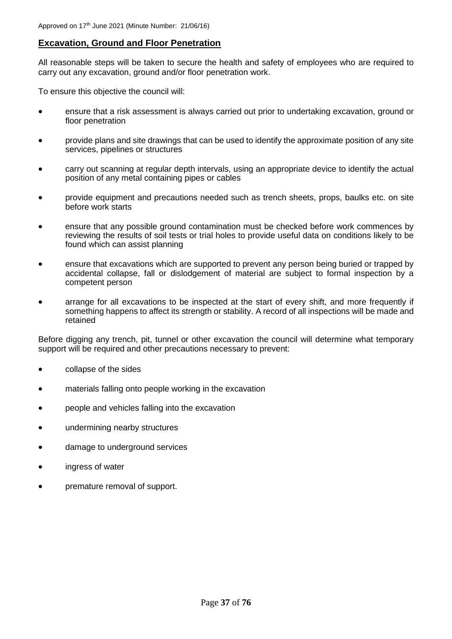# **Excavation, Ground and Floor Penetration**

All reasonable steps will be taken to secure the health and safety of employees who are required to carry out any excavation, ground and/or floor penetration work.

To ensure this objective the council will:

- ensure that a risk assessment is always carried out prior to undertaking excavation, ground or floor penetration
- provide plans and site drawings that can be used to identify the approximate position of any site services, pipelines or structures
- carry out scanning at regular depth intervals, using an appropriate device to identify the actual position of any metal containing pipes or cables
- provide equipment and precautions needed such as trench sheets, props, baulks etc. on site before work starts
- ensure that any possible ground contamination must be checked before work commences by reviewing the results of soil tests or trial holes to provide useful data on conditions likely to be found which can assist planning
- ensure that excavations which are supported to prevent any person being buried or trapped by accidental collapse, fall or dislodgement of material are subject to formal inspection by a competent person
- arrange for all excavations to be inspected at the start of every shift, and more frequently if something happens to affect its strength or stability. A record of all inspections will be made and retained

Before digging any trench, pit, tunnel or other excavation the council will determine what temporary support will be required and other precautions necessary to prevent:

- collapse of the sides
- materials falling onto people working in the excavation
- people and vehicles falling into the excavation
- undermining nearby structures
- damage to underground services
- ingress of water
- premature removal of support.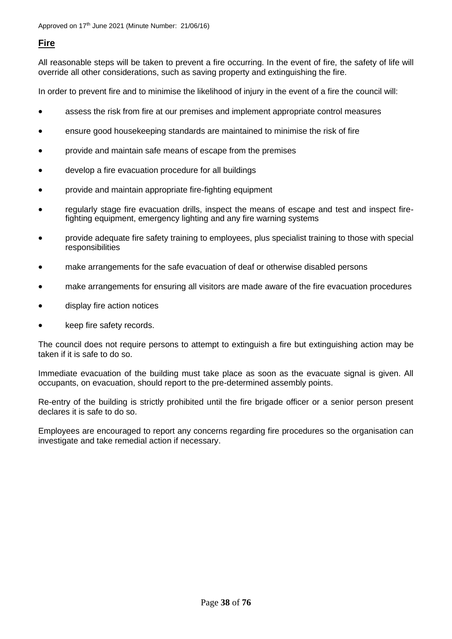# **Fire**

All reasonable steps will be taken to prevent a fire occurring. In the event of fire, the safety of life will override all other considerations, such as saving property and extinguishing the fire.

In order to prevent fire and to minimise the likelihood of injury in the event of a fire the council will:

- assess the risk from fire at our premises and implement appropriate control measures
- ensure good housekeeping standards are maintained to minimise the risk of fire
- provide and maintain safe means of escape from the premises
- develop a fire evacuation procedure for all buildings
- provide and maintain appropriate fire-fighting equipment
- regularly stage fire evacuation drills, inspect the means of escape and test and inspect firefighting equipment, emergency lighting and any fire warning systems
- provide adequate fire safety training to employees, plus specialist training to those with special responsibilities
- make arrangements for the safe evacuation of deaf or otherwise disabled persons
- make arrangements for ensuring all visitors are made aware of the fire evacuation procedures
- display fire action notices
- keep fire safety records.

The council does not require persons to attempt to extinguish a fire but extinguishing action may be taken if it is safe to do so.

Immediate evacuation of the building must take place as soon as the evacuate signal is given. All occupants, on evacuation, should report to the pre-determined assembly points.

Re-entry of the building is strictly prohibited until the fire brigade officer or a senior person present declares it is safe to do so.

Employees are encouraged to report any concerns regarding fire procedures so the organisation can investigate and take remedial action if necessary.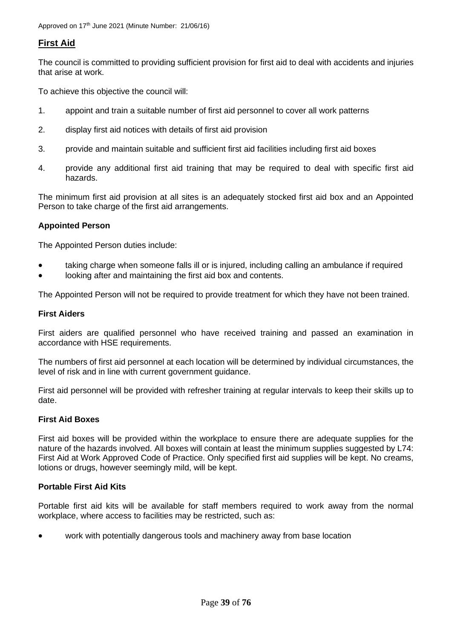# **First Aid**

The council is committed to providing sufficient provision for first aid to deal with accidents and injuries that arise at work.

To achieve this objective the council will:

- 1. appoint and train a suitable number of first aid personnel to cover all work patterns
- 2. display first aid notices with details of first aid provision
- 3. provide and maintain suitable and sufficient first aid facilities including first aid boxes
- 4. provide any additional first aid training that may be required to deal with specific first aid hazards.

The minimum first aid provision at all sites is an adequately stocked first aid box and an Appointed Person to take charge of the first aid arrangements.

# **Appointed Person**

The Appointed Person duties include:

- taking charge when someone falls ill or is injured, including calling an ambulance if required
- looking after and maintaining the first aid box and contents.

The Appointed Person will not be required to provide treatment for which they have not been trained.

## **First Aiders**

First aiders are qualified personnel who have received training and passed an examination in accordance with HSE requirements.

The numbers of first aid personnel at each location will be determined by individual circumstances, the level of risk and in line with current government guidance.

First aid personnel will be provided with refresher training at regular intervals to keep their skills up to date.

## **First Aid Boxes**

First aid boxes will be provided within the workplace to ensure there are adequate supplies for the nature of the hazards involved. All boxes will contain at least the minimum supplies suggested by L74: First Aid at Work Approved Code of Practice. Only specified first aid supplies will be kept. No creams, lotions or drugs, however seemingly mild, will be kept.

## **Portable First Aid Kits**

Portable first aid kits will be available for staff members required to work away from the normal workplace, where access to facilities may be restricted, such as:

• work with potentially dangerous tools and machinery away from base location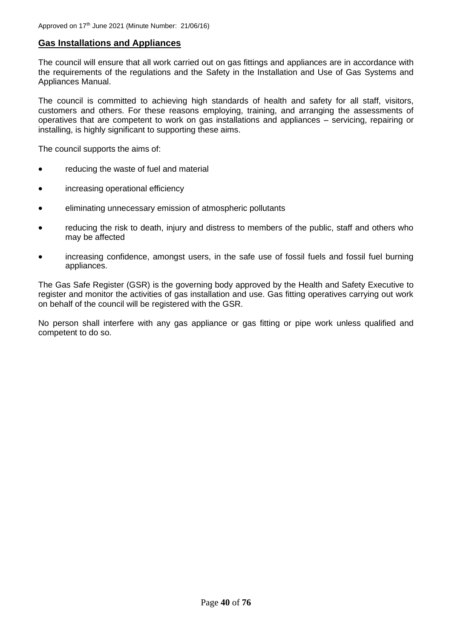# **Gas Installations and Appliances**

The council will ensure that all work carried out on gas fittings and appliances are in accordance with the requirements of the regulations and the Safety in the Installation and Use of Gas Systems and Appliances Manual.

The council is committed to achieving high standards of health and safety for all staff, visitors, customers and others. For these reasons employing, training, and arranging the assessments of operatives that are competent to work on gas installations and appliances – servicing, repairing or installing, is highly significant to supporting these aims.

The council supports the aims of:

- reducing the waste of fuel and material
- increasing operational efficiency
- eliminating unnecessary emission of atmospheric pollutants
- reducing the risk to death, injury and distress to members of the public, staff and others who may be affected
- increasing confidence, amongst users, in the safe use of fossil fuels and fossil fuel burning appliances.

The Gas Safe Register (GSR) is the governing body approved by the Health and Safety Executive to register and monitor the activities of gas installation and use. Gas fitting operatives carrying out work on behalf of the council will be registered with the GSR.

No person shall interfere with any gas appliance or gas fitting or pipe work unless qualified and competent to do so.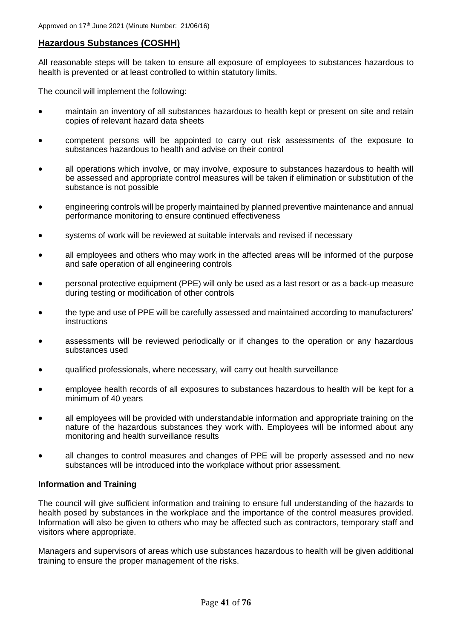# **Hazardous Substances (COSHH)**

All reasonable steps will be taken to ensure all exposure of employees to substances hazardous to health is prevented or at least controlled to within statutory limits.

The council will implement the following:

- maintain an inventory of all substances hazardous to health kept or present on site and retain copies of relevant hazard data sheets
- competent persons will be appointed to carry out risk assessments of the exposure to substances hazardous to health and advise on their control
- all operations which involve, or may involve, exposure to substances hazardous to health will be assessed and appropriate control measures will be taken if elimination or substitution of the substance is not possible
- engineering controls will be properly maintained by planned preventive maintenance and annual performance monitoring to ensure continued effectiveness
- systems of work will be reviewed at suitable intervals and revised if necessary
- all employees and others who may work in the affected areas will be informed of the purpose and safe operation of all engineering controls
- personal protective equipment (PPE) will only be used as a last resort or as a back-up measure during testing or modification of other controls
- the type and use of PPE will be carefully assessed and maintained according to manufacturers' instructions
- assessments will be reviewed periodically or if changes to the operation or any hazardous substances used
- qualified professionals, where necessary, will carry out health surveillance
- employee health records of all exposures to substances hazardous to health will be kept for a minimum of 40 years
- all employees will be provided with understandable information and appropriate training on the nature of the hazardous substances they work with. Employees will be informed about any monitoring and health surveillance results
- all changes to control measures and changes of PPE will be properly assessed and no new substances will be introduced into the workplace without prior assessment.

# **Information and Training**

The council will give sufficient information and training to ensure full understanding of the hazards to health posed by substances in the workplace and the importance of the control measures provided. Information will also be given to others who may be affected such as contractors, temporary staff and visitors where appropriate.

Managers and supervisors of areas which use substances hazardous to health will be given additional training to ensure the proper management of the risks.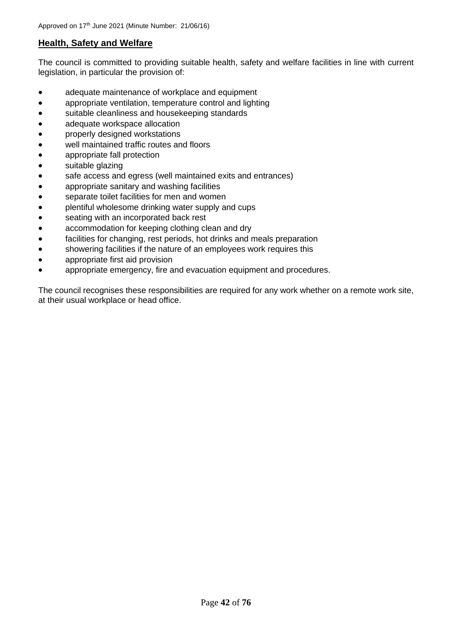# **Health, Safety and Welfare**

The council is committed to providing suitable health, safety and welfare facilities in line with current legislation, in particular the provision of:

- adequate maintenance of workplace and equipment
- appropriate ventilation, temperature control and lighting
- suitable cleanliness and housekeeping standards
- adequate workspace allocation
- properly designed workstations
- well maintained traffic routes and floors
- appropriate fall protection
- suitable glazing
- safe access and egress (well maintained exits and entrances)
- appropriate sanitary and washing facilities
- separate toilet facilities for men and women
- plentiful wholesome drinking water supply and cups
- seating with an incorporated back rest
- accommodation for keeping clothing clean and dry
- facilities for changing, rest periods, hot drinks and meals preparation
- showering facilities if the nature of an employees work requires this
- appropriate first aid provision
- appropriate emergency, fire and evacuation equipment and procedures.

The council recognises these responsibilities are required for any work whether on a remote work site, at their usual workplace or head office.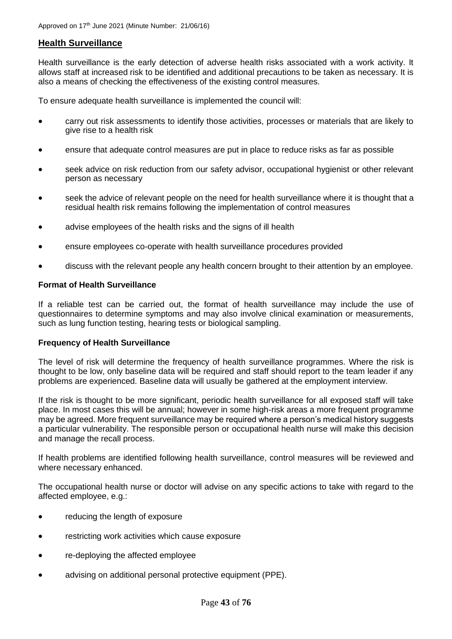# **Health Surveillance**

Health surveillance is the early detection of adverse health risks associated with a work activity. It allows staff at increased risk to be identified and additional precautions to be taken as necessary. It is also a means of checking the effectiveness of the existing control measures.

To ensure adequate health surveillance is implemented the council will:

- carry out risk assessments to identify those activities, processes or materials that are likely to give rise to a health risk
- ensure that adequate control measures are put in place to reduce risks as far as possible
- seek advice on risk reduction from our safety advisor, occupational hygienist or other relevant person as necessary
- seek the advice of relevant people on the need for health surveillance where it is thought that a residual health risk remains following the implementation of control measures
- advise employees of the health risks and the signs of ill health
- ensure employees co-operate with health surveillance procedures provided
- discuss with the relevant people any health concern brought to their attention by an employee.

#### **Format of Health Surveillance**

If a reliable test can be carried out, the format of health surveillance may include the use of questionnaires to determine symptoms and may also involve clinical examination or measurements, such as lung function testing, hearing tests or biological sampling.

#### **Frequency of Health Surveillance**

The level of risk will determine the frequency of health surveillance programmes. Where the risk is thought to be low, only baseline data will be required and staff should report to the team leader if any problems are experienced. Baseline data will usually be gathered at the employment interview.

If the risk is thought to be more significant, periodic health surveillance for all exposed staff will take place. In most cases this will be annual; however in some high-risk areas a more frequent programme may be agreed. More frequent surveillance may be required where a person's medical history suggests a particular vulnerability. The responsible person or occupational health nurse will make this decision and manage the recall process.

If health problems are identified following health surveillance, control measures will be reviewed and where necessary enhanced.

The occupational health nurse or doctor will advise on any specific actions to take with regard to the affected employee, e.g.:

- reducing the length of exposure
- restricting work activities which cause exposure
- *re-deploying the affected employee*
- advising on additional personal protective equipment (PPE).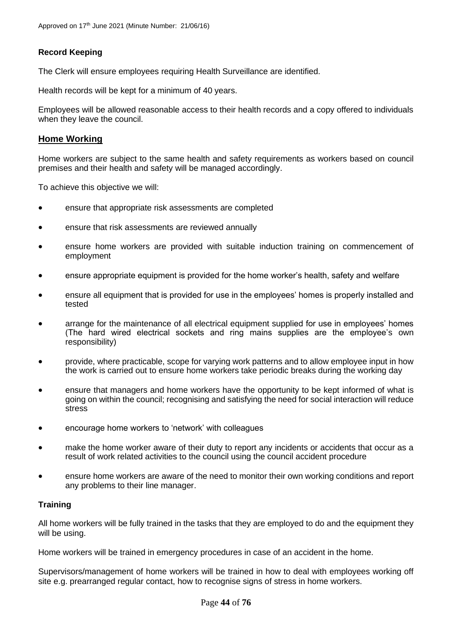# **Record Keeping**

The Clerk will ensure employees requiring Health Surveillance are identified.

Health records will be kept for a minimum of 40 years.

Employees will be allowed reasonable access to their health records and a copy offered to individuals when they leave the council.

## **Home Working**

Home workers are subject to the same health and safety requirements as workers based on council premises and their health and safety will be managed accordingly.

To achieve this objective we will:

- ensure that appropriate risk assessments are completed
- ensure that risk assessments are reviewed annually
- ensure home workers are provided with suitable induction training on commencement of employment
- ensure appropriate equipment is provided for the home worker's health, safety and welfare
- ensure all equipment that is provided for use in the employees' homes is properly installed and tested
- arrange for the maintenance of all electrical equipment supplied for use in employees' homes (The hard wired electrical sockets and ring mains supplies are the employee's own responsibility)
- provide, where practicable, scope for varying work patterns and to allow employee input in how the work is carried out to ensure home workers take periodic breaks during the working day
- ensure that managers and home workers have the opportunity to be kept informed of what is going on within the council; recognising and satisfying the need for social interaction will reduce stress
- encourage home workers to 'network' with colleagues
- make the home worker aware of their duty to report any incidents or accidents that occur as a result of work related activities to the council using the council accident procedure
- ensure home workers are aware of the need to monitor their own working conditions and report any problems to their line manager.

## **Training**

All home workers will be fully trained in the tasks that they are employed to do and the equipment they will be using.

Home workers will be trained in emergency procedures in case of an accident in the home.

Supervisors/management of home workers will be trained in how to deal with employees working off site e.g. prearranged regular contact, how to recognise signs of stress in home workers.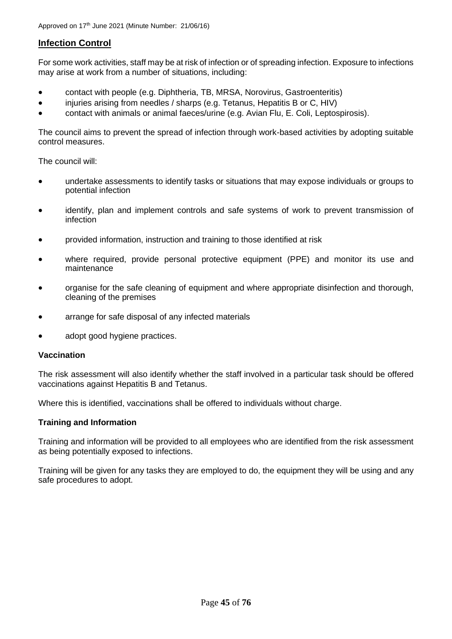# **Infection Control**

For some work activities, staff may be at risk of infection or of spreading infection. Exposure to infections may arise at work from a number of situations, including:

- contact with people (e.g. Diphtheria, TB, MRSA, Norovirus, Gastroenteritis)
- injuries arising from needles / sharps (e.g. Tetanus, Hepatitis B or C, HIV)
- contact with animals or animal faeces/urine (e.g. Avian Flu, E. Coli, Leptospirosis).

The council aims to prevent the spread of infection through work-based activities by adopting suitable control measures.

The council will:

- undertake assessments to identify tasks or situations that may expose individuals or groups to potential infection
- identify, plan and implement controls and safe systems of work to prevent transmission of infection
- provided information, instruction and training to those identified at risk
- where required, provide personal protective equipment (PPE) and monitor its use and maintenance
- organise for the safe cleaning of equipment and where appropriate disinfection and thorough, cleaning of the premises
- arrange for safe disposal of any infected materials
- adopt good hygiene practices.

#### **Vaccination**

The risk assessment will also identify whether the staff involved in a particular task should be offered vaccinations against Hepatitis B and Tetanus.

Where this is identified, vaccinations shall be offered to individuals without charge.

## **Training and Information**

Training and information will be provided to all employees who are identified from the risk assessment as being potentially exposed to infections.

Training will be given for any tasks they are employed to do, the equipment they will be using and any safe procedures to adopt.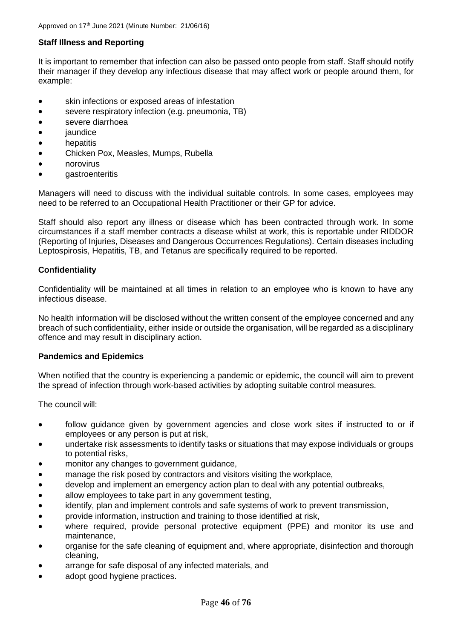# **Staff Illness and Reporting**

It is important to remember that infection can also be passed onto people from staff. Staff should notify their manager if they develop any infectious disease that may affect work or people around them, for example:

- skin infections or exposed areas of infestation
- severe respiratory infection (e.g. pneumonia, TB)
- severe diarrhoea
- *jaundice*
- **hepatitis**
- Chicken Pox, Measles, Mumps, Rubella
- norovirus
- gastroenteritis

Managers will need to discuss with the individual suitable controls. In some cases, employees may need to be referred to an Occupational Health Practitioner or their GP for advice.

Staff should also report any illness or disease which has been contracted through work. In some circumstances if a staff member contracts a disease whilst at work, this is reportable under RIDDOR (Reporting of Injuries, Diseases and Dangerous Occurrences Regulations). Certain diseases including Leptospirosis, Hepatitis, TB, and Tetanus are specifically required to be reported.

## **Confidentiality**

Confidentiality will be maintained at all times in relation to an employee who is known to have any infectious disease.

No health information will be disclosed without the written consent of the employee concerned and any breach of such confidentiality, either inside or outside the organisation, will be regarded as a disciplinary offence and may result in disciplinary action.

## **Pandemics and Epidemics**

When notified that the country is experiencing a pandemic or epidemic, the council will aim to prevent the spread of infection through work-based activities by adopting suitable control measures.

The council will:

- follow guidance given by government agencies and close work sites if instructed to or if employees or any person is put at risk,
- undertake risk assessments to identify tasks or situations that may expose individuals or groups to potential risks,
- monitor any changes to government quidance.
- manage the risk posed by contractors and visitors visiting the workplace,
- develop and implement an emergency action plan to deal with any potential outbreaks,
- allow employees to take part in any government testing,
- identify, plan and implement controls and safe systems of work to prevent transmission,
- provide information, instruction and training to those identified at risk,
- where required, provide personal protective equipment (PPE) and monitor its use and maintenance,
- organise for the safe cleaning of equipment and, where appropriate, disinfection and thorough cleaning,
- arrange for safe disposal of any infected materials, and
- adopt good hygiene practices.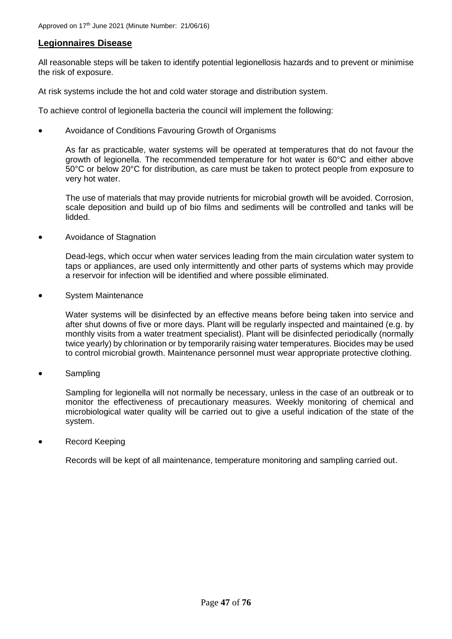# **Legionnaires Disease**

All reasonable steps will be taken to identify potential legionellosis hazards and to prevent or minimise the risk of exposure.

At risk systems include the hot and cold water storage and distribution system.

To achieve control of legionella bacteria the council will implement the following:

• Avoidance of Conditions Favouring Growth of Organisms

As far as practicable, water systems will be operated at temperatures that do not favour the growth of legionella. The recommended temperature for hot water is 60°C and either above 50°C or below 20°C for distribution, as care must be taken to protect people from exposure to very hot water.

The use of materials that may provide nutrients for microbial growth will be avoided. Corrosion, scale deposition and build up of bio films and sediments will be controlled and tanks will be lidded.

• Avoidance of Stagnation

Dead-legs, which occur when water services leading from the main circulation water system to taps or appliances, are used only intermittently and other parts of systems which may provide a reservoir for infection will be identified and where possible eliminated.

• System Maintenance

Water systems will be disinfected by an effective means before being taken into service and after shut downs of five or more days. Plant will be regularly inspected and maintained (e.g. by monthly visits from a water treatment specialist). Plant will be disinfected periodically (normally twice yearly) by chlorination or by temporarily raising water temperatures. Biocides may be used to control microbial growth. Maintenance personnel must wear appropriate protective clothing.

• Sampling

Sampling for legionella will not normally be necessary, unless in the case of an outbreak or to monitor the effectiveness of precautionary measures. Weekly monitoring of chemical and microbiological water quality will be carried out to give a useful indication of the state of the system.

• Record Keeping

Records will be kept of all maintenance, temperature monitoring and sampling carried out.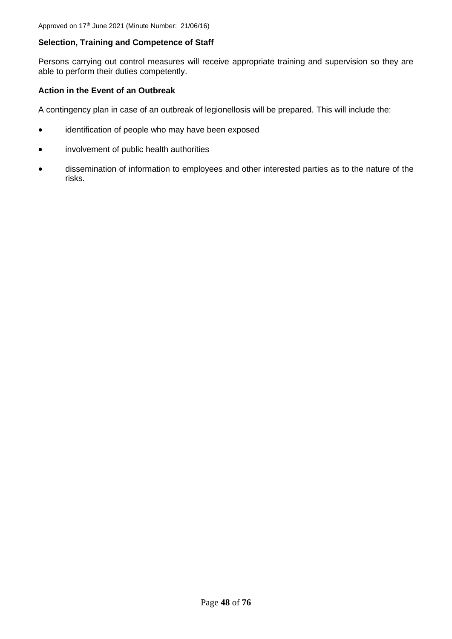# **Selection, Training and Competence of Staff**

Persons carrying out control measures will receive appropriate training and supervision so they are able to perform their duties competently.

#### **Action in the Event of an Outbreak**

A contingency plan in case of an outbreak of legionellosis will be prepared. This will include the:

- identification of people who may have been exposed
- involvement of public health authorities
- dissemination of information to employees and other interested parties as to the nature of the risks.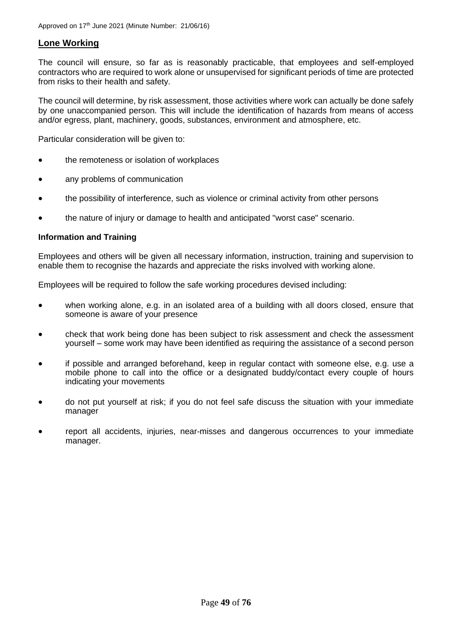# **Lone Working**

The council will ensure, so far as is reasonably practicable, that employees and self-employed contractors who are required to work alone or unsupervised for significant periods of time are protected from risks to their health and safety.

The council will determine, by risk assessment, those activities where work can actually be done safely by one unaccompanied person. This will include the identification of hazards from means of access and/or egress, plant, machinery, goods, substances, environment and atmosphere, etc.

Particular consideration will be given to:

- the remoteness or isolation of workplaces
- any problems of communication
- the possibility of interference, such as violence or criminal activity from other persons
- the nature of injury or damage to health and anticipated "worst case" scenario.

#### **Information and Training**

Employees and others will be given all necessary information, instruction, training and supervision to enable them to recognise the hazards and appreciate the risks involved with working alone.

Employees will be required to follow the safe working procedures devised including:

- when working alone, e.g. in an isolated area of a building with all doors closed, ensure that someone is aware of your presence
- check that work being done has been subject to risk assessment and check the assessment yourself – some work may have been identified as requiring the assistance of a second person
- if possible and arranged beforehand, keep in regular contact with someone else, e.g. use a mobile phone to call into the office or a designated buddy/contact every couple of hours indicating your movements
- do not put yourself at risk; if you do not feel safe discuss the situation with your immediate manager
- report all accidents, injuries, near-misses and dangerous occurrences to your immediate manager.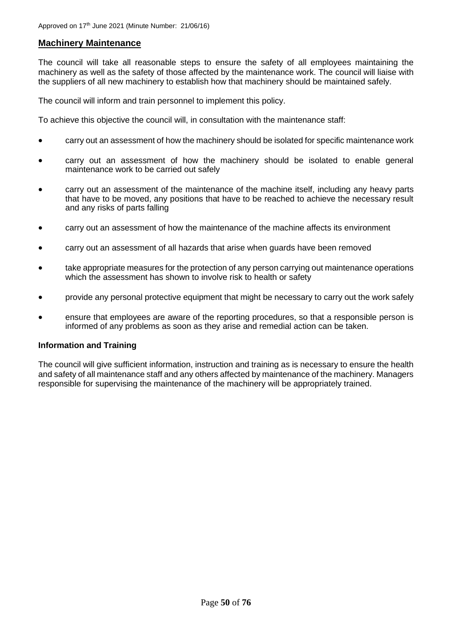# **Machinery Maintenance**

The council will take all reasonable steps to ensure the safety of all employees maintaining the machinery as well as the safety of those affected by the maintenance work. The council will liaise with the suppliers of all new machinery to establish how that machinery should be maintained safely.

The council will inform and train personnel to implement this policy.

To achieve this objective the council will, in consultation with the maintenance staff:

- carry out an assessment of how the machinery should be isolated for specific maintenance work
- carry out an assessment of how the machinery should be isolated to enable general maintenance work to be carried out safely
- carry out an assessment of the maintenance of the machine itself, including any heavy parts that have to be moved, any positions that have to be reached to achieve the necessary result and any risks of parts falling
- carry out an assessment of how the maintenance of the machine affects its environment
- carry out an assessment of all hazards that arise when guards have been removed
- take appropriate measures for the protection of any person carrying out maintenance operations which the assessment has shown to involve risk to health or safety
- provide any personal protective equipment that might be necessary to carry out the work safely
- ensure that employees are aware of the reporting procedures, so that a responsible person is informed of any problems as soon as they arise and remedial action can be taken.

## **Information and Training**

The council will give sufficient information, instruction and training as is necessary to ensure the health and safety of all maintenance staff and any others affected by maintenance of the machinery. Managers responsible for supervising the maintenance of the machinery will be appropriately trained.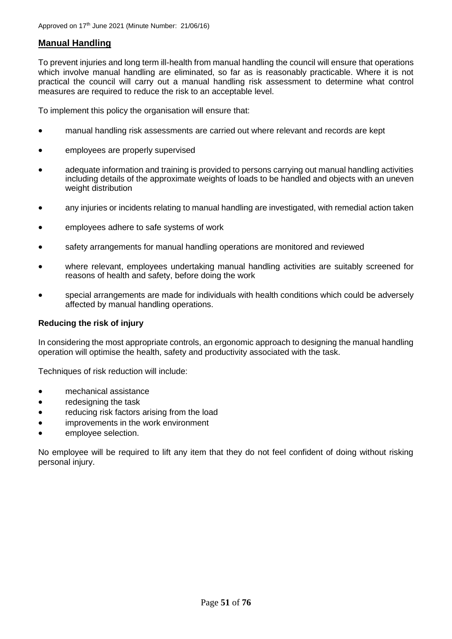# **Manual Handling**

To prevent injuries and long term ill-health from manual handling the council will ensure that operations which involve manual handling are eliminated, so far as is reasonably practicable. Where it is not practical the council will carry out a manual handling risk assessment to determine what control measures are required to reduce the risk to an acceptable level.

To implement this policy the organisation will ensure that:

- manual handling risk assessments are carried out where relevant and records are kept
- employees are properly supervised
- adequate information and training is provided to persons carrying out manual handling activities including details of the approximate weights of loads to be handled and objects with an uneven weight distribution
- any injuries or incidents relating to manual handling are investigated, with remedial action taken
- employees adhere to safe systems of work
- safety arrangements for manual handling operations are monitored and reviewed
- where relevant, employees undertaking manual handling activities are suitably screened for reasons of health and safety, before doing the work
- special arrangements are made for individuals with health conditions which could be adversely affected by manual handling operations.

## **Reducing the risk of injury**

In considering the most appropriate controls, an ergonomic approach to designing the manual handling operation will optimise the health, safety and productivity associated with the task.

Techniques of risk reduction will include:

- mechanical assistance
- redesigning the task
- reducing risk factors arising from the load
- improvements in the work environment
- employee selection.

No employee will be required to lift any item that they do not feel confident of doing without risking personal injury.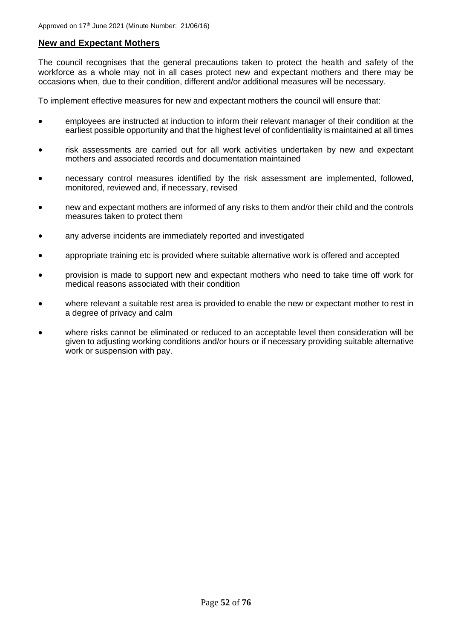# **New and Expectant Mothers**

The council recognises that the general precautions taken to protect the health and safety of the workforce as a whole may not in all cases protect new and expectant mothers and there may be occasions when, due to their condition, different and/or additional measures will be necessary.

To implement effective measures for new and expectant mothers the council will ensure that:

- employees are instructed at induction to inform their relevant manager of their condition at the earliest possible opportunity and that the highest level of confidentiality is maintained at all times
- risk assessments are carried out for all work activities undertaken by new and expectant mothers and associated records and documentation maintained
- necessary control measures identified by the risk assessment are implemented, followed, monitored, reviewed and, if necessary, revised
- new and expectant mothers are informed of any risks to them and/or their child and the controls measures taken to protect them
- any adverse incidents are immediately reported and investigated
- appropriate training etc is provided where suitable alternative work is offered and accepted
- provision is made to support new and expectant mothers who need to take time off work for medical reasons associated with their condition
- where relevant a suitable rest area is provided to enable the new or expectant mother to rest in a degree of privacy and calm
- where risks cannot be eliminated or reduced to an acceptable level then consideration will be given to adjusting working conditions and/or hours or if necessary providing suitable alternative work or suspension with pay.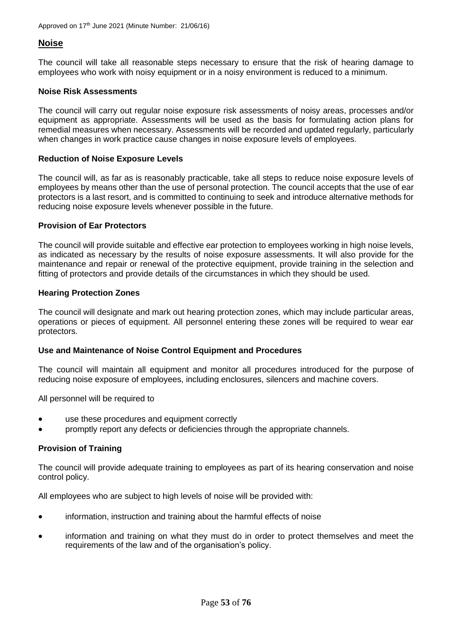# **Noise**

The council will take all reasonable steps necessary to ensure that the risk of hearing damage to employees who work with noisy equipment or in a noisy environment is reduced to a minimum.

#### **Noise Risk Assessments**

The council will carry out regular noise exposure risk assessments of noisy areas, processes and/or equipment as appropriate. Assessments will be used as the basis for formulating action plans for remedial measures when necessary. Assessments will be recorded and updated regularly, particularly when changes in work practice cause changes in noise exposure levels of employees.

#### **Reduction of Noise Exposure Levels**

The council will, as far as is reasonably practicable, take all steps to reduce noise exposure levels of employees by means other than the use of personal protection. The council accepts that the use of ear protectors is a last resort, and is committed to continuing to seek and introduce alternative methods for reducing noise exposure levels whenever possible in the future.

#### **Provision of Ear Protectors**

The council will provide suitable and effective ear protection to employees working in high noise levels, as indicated as necessary by the results of noise exposure assessments. It will also provide for the maintenance and repair or renewal of the protective equipment, provide training in the selection and fitting of protectors and provide details of the circumstances in which they should be used.

#### **Hearing Protection Zones**

The council will designate and mark out hearing protection zones, which may include particular areas, operations or pieces of equipment. All personnel entering these zones will be required to wear ear protectors.

#### **Use and Maintenance of Noise Control Equipment and Procedures**

The council will maintain all equipment and monitor all procedures introduced for the purpose of reducing noise exposure of employees, including enclosures, silencers and machine covers.

All personnel will be required to

- use these procedures and equipment correctly
- promptly report any defects or deficiencies through the appropriate channels.

## **Provision of Training**

The council will provide adequate training to employees as part of its hearing conservation and noise control policy.

All employees who are subject to high levels of noise will be provided with:

- information, instruction and training about the harmful effects of noise
- information and training on what they must do in order to protect themselves and meet the requirements of the law and of the organisation's policy.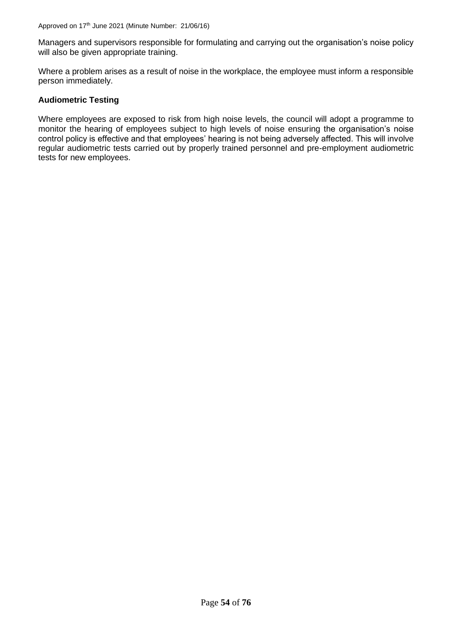Managers and supervisors responsible for formulating and carrying out the organisation's noise policy will also be given appropriate training.

Where a problem arises as a result of noise in the workplace, the employee must inform a responsible person immediately.

## **Audiometric Testing**

Where employees are exposed to risk from high noise levels, the council will adopt a programme to monitor the hearing of employees subject to high levels of noise ensuring the organisation's noise control policy is effective and that employees' hearing is not being adversely affected. This will involve regular audiometric tests carried out by properly trained personnel and pre-employment audiometric tests for new employees.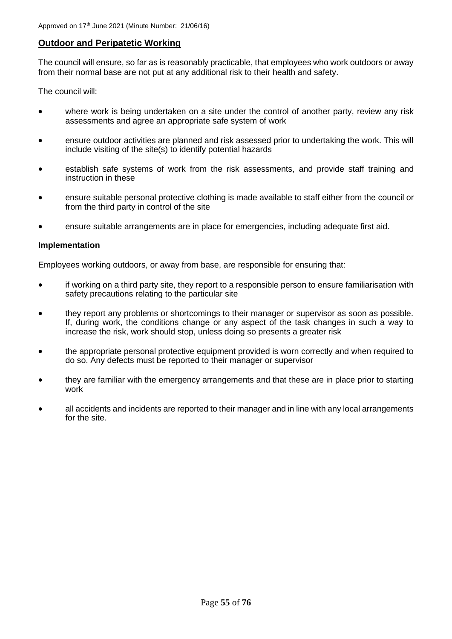# **Outdoor and Peripatetic Working**

The council will ensure, so far as is reasonably practicable, that employees who work outdoors or away from their normal base are not put at any additional risk to their health and safety.

The council will:

- where work is being undertaken on a site under the control of another party, review any risk assessments and agree an appropriate safe system of work
- ensure outdoor activities are planned and risk assessed prior to undertaking the work. This will include visiting of the site(s) to identify potential hazards
- establish safe systems of work from the risk assessments, and provide staff training and instruction in these
- ensure suitable personal protective clothing is made available to staff either from the council or from the third party in control of the site
- ensure suitable arrangements are in place for emergencies, including adequate first aid.

#### **Implementation**

Employees working outdoors, or away from base, are responsible for ensuring that:

- if working on a third party site, they report to a responsible person to ensure familiarisation with safety precautions relating to the particular site
- they report any problems or shortcomings to their manager or supervisor as soon as possible. If, during work, the conditions change or any aspect of the task changes in such a way to increase the risk, work should stop, unless doing so presents a greater risk
- the appropriate personal protective equipment provided is worn correctly and when required to do so. Any defects must be reported to their manager or supervisor
- they are familiar with the emergency arrangements and that these are in place prior to starting work
- all accidents and incidents are reported to their manager and in line with any local arrangements for the site.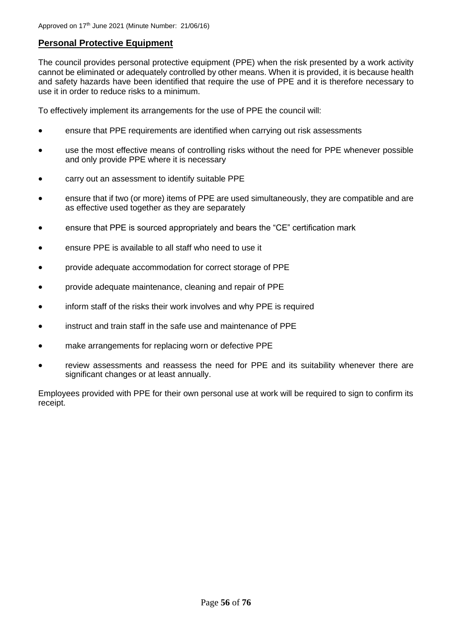# **Personal Protective Equipment**

The council provides personal protective equipment (PPE) when the risk presented by a work activity cannot be eliminated or adequately controlled by other means. When it is provided, it is because health and safety hazards have been identified that require the use of PPE and it is therefore necessary to use it in order to reduce risks to a minimum.

To effectively implement its arrangements for the use of PPE the council will:

- ensure that PPE requirements are identified when carrying out risk assessments
- use the most effective means of controlling risks without the need for PPE whenever possible and only provide PPE where it is necessary
- carry out an assessment to identify suitable PPE
- ensure that if two (or more) items of PPE are used simultaneously, they are compatible and are as effective used together as they are separately
- ensure that PPE is sourced appropriately and bears the "CE" certification mark
- ensure PPE is available to all staff who need to use it
- provide adequate accommodation for correct storage of PPE
- provide adequate maintenance, cleaning and repair of PPE
- inform staff of the risks their work involves and why PPE is required
- instruct and train staff in the safe use and maintenance of PPE
- make arrangements for replacing worn or defective PPE
- review assessments and reassess the need for PPE and its suitability whenever there are significant changes or at least annually.

Employees provided with PPE for their own personal use at work will be required to sign to confirm its receipt.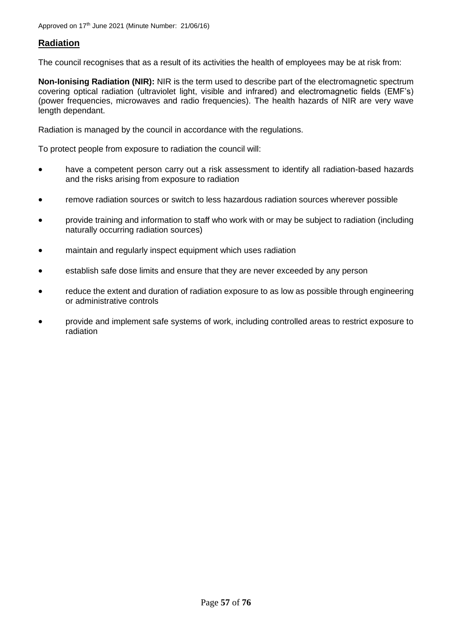# **Radiation**

The council recognises that as a result of its activities the health of employees may be at risk from:

**Non-Ionising Radiation (NIR):** NIR is the term used to describe part of the electromagnetic spectrum covering optical radiation (ultraviolet light, visible and infrared) and electromagnetic fields (EMF's) (power frequencies, microwaves and radio frequencies). The health hazards of NIR are very wave length dependant.

Radiation is managed by the council in accordance with the regulations.

To protect people from exposure to radiation the council will:

- have a competent person carry out a risk assessment to identify all radiation-based hazards and the risks arising from exposure to radiation
- remove radiation sources or switch to less hazardous radiation sources wherever possible
- provide training and information to staff who work with or may be subject to radiation (including naturally occurring radiation sources)
- maintain and regularly inspect equipment which uses radiation
- establish safe dose limits and ensure that they are never exceeded by any person
- reduce the extent and duration of radiation exposure to as low as possible through engineering or administrative controls
- provide and implement safe systems of work, including controlled areas to restrict exposure to radiation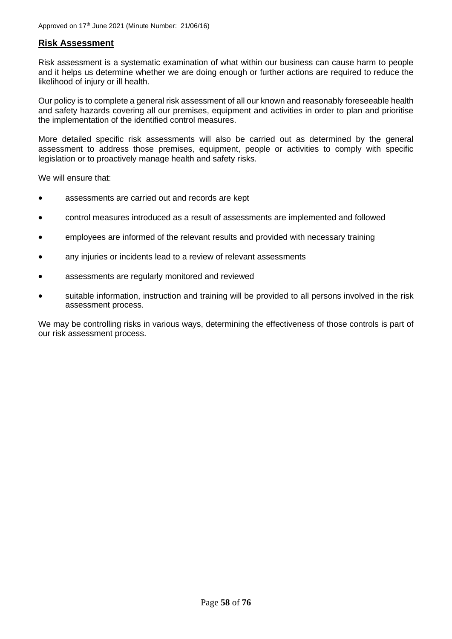# **Risk Assessment**

Risk assessment is a systematic examination of what within our business can cause harm to people and it helps us determine whether we are doing enough or further actions are required to reduce the likelihood of injury or ill health.

Our policy is to complete a general risk assessment of all our known and reasonably foreseeable health and safety hazards covering all our premises, equipment and activities in order to plan and prioritise the implementation of the identified control measures.

More detailed specific risk assessments will also be carried out as determined by the general assessment to address those premises, equipment, people or activities to comply with specific legislation or to proactively manage health and safety risks.

We will ensure that:

- assessments are carried out and records are kept
- control measures introduced as a result of assessments are implemented and followed
- employees are informed of the relevant results and provided with necessary training
- any injuries or incidents lead to a review of relevant assessments
- assessments are regularly monitored and reviewed
- suitable information, instruction and training will be provided to all persons involved in the risk assessment process.

We may be controlling risks in various ways, determining the effectiveness of those controls is part of our risk assessment process.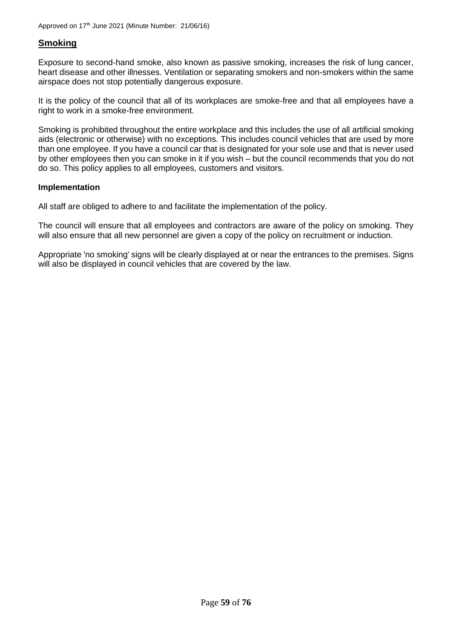# **Smoking**

Exposure to second-hand smoke, also known as passive smoking, increases the risk of lung cancer, heart disease and other illnesses. Ventilation or separating smokers and non-smokers within the same airspace does not stop potentially dangerous exposure.

It is the policy of the council that all of its workplaces are smoke-free and that all employees have a right to work in a smoke-free environment.

Smoking is prohibited throughout the entire workplace and this includes the use of all artificial smoking aids (electronic or otherwise) with no exceptions. This includes council vehicles that are used by more than one employee. If you have a council car that is designated for your sole use and that is never used by other employees then you can smoke in it if you wish – but the council recommends that you do not do so. This policy applies to all employees, customers and visitors.

#### **Implementation**

All staff are obliged to adhere to and facilitate the implementation of the policy.

The council will ensure that all employees and contractors are aware of the policy on smoking. They will also ensure that all new personnel are given a copy of the policy on recruitment or induction.

Appropriate 'no smoking' signs will be clearly displayed at or near the entrances to the premises. Signs will also be displayed in council vehicles that are covered by the law.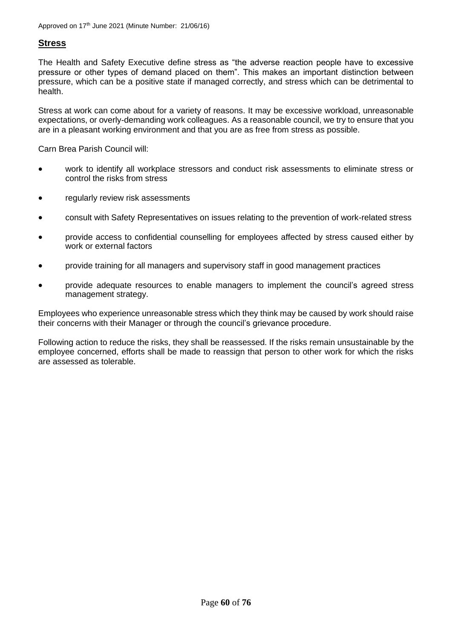# **Stress**

The Health and Safety Executive define stress as "the adverse reaction people have to excessive pressure or other types of demand placed on them". This makes an important distinction between pressure, which can be a positive state if managed correctly, and stress which can be detrimental to health.

Stress at work can come about for a variety of reasons. It may be excessive workload, unreasonable expectations, or overly-demanding work colleagues. As a reasonable council, we try to ensure that you are in a pleasant working environment and that you are as free from stress as possible.

Carn Brea Parish Council will:

- work to identify all workplace stressors and conduct risk assessments to eliminate stress or control the risks from stress
- regularly review risk assessments
- consult with Safety Representatives on issues relating to the prevention of work-related stress
- provide access to confidential counselling for employees affected by stress caused either by work or external factors
- provide training for all managers and supervisory staff in good management practices
- provide adequate resources to enable managers to implement the council's agreed stress management strategy.

Employees who experience unreasonable stress which they think may be caused by work should raise their concerns with their Manager or through the council's grievance procedure.

Following action to reduce the risks, they shall be reassessed. If the risks remain unsustainable by the employee concerned, efforts shall be made to reassign that person to other work for which the risks are assessed as tolerable.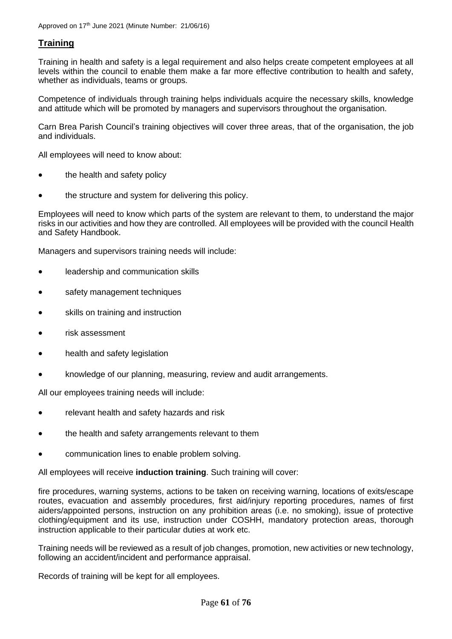# **Training**

Training in health and safety is a legal requirement and also helps create competent employees at all levels within the council to enable them make a far more effective contribution to health and safety, whether as individuals, teams or groups.

Competence of individuals through training helps individuals acquire the necessary skills, knowledge and attitude which will be promoted by managers and supervisors throughout the organisation.

Carn Brea Parish Council's training objectives will cover three areas, that of the organisation, the job and individuals.

All employees will need to know about:

- the health and safety policy
- the structure and system for delivering this policy.

Employees will need to know which parts of the system are relevant to them, to understand the major risks in our activities and how they are controlled. All employees will be provided with the council Health and Safety Handbook.

Managers and supervisors training needs will include:

- leadership and communication skills
- safety management techniques
- skills on training and instruction
- risk assessment
- health and safety legislation
- knowledge of our planning, measuring, review and audit arrangements.

All our employees training needs will include:

- relevant health and safety hazards and risk
- the health and safety arrangements relevant to them
- communication lines to enable problem solving.

All employees will receive **induction training**. Such training will cover:

fire procedures, warning systems, actions to be taken on receiving warning, locations of exits/escape routes, evacuation and assembly procedures, first aid/injury reporting procedures, names of first aiders/appointed persons, instruction on any prohibition areas (i.e. no smoking), issue of protective clothing/equipment and its use, instruction under COSHH, mandatory protection areas, thorough instruction applicable to their particular duties at work etc.

Training needs will be reviewed as a result of job changes, promotion, new activities or new technology, following an accident/incident and performance appraisal.

Records of training will be kept for all employees.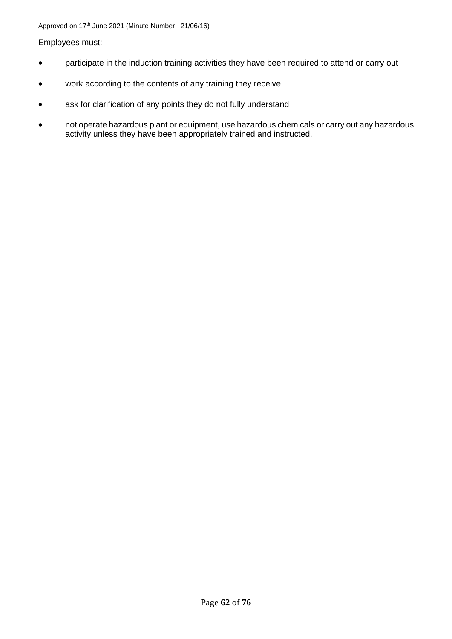## Employees must:

- participate in the induction training activities they have been required to attend or carry out
- work according to the contents of any training they receive
- ask for clarification of any points they do not fully understand
- not operate hazardous plant or equipment, use hazardous chemicals or carry out any hazardous activity unless they have been appropriately trained and instructed.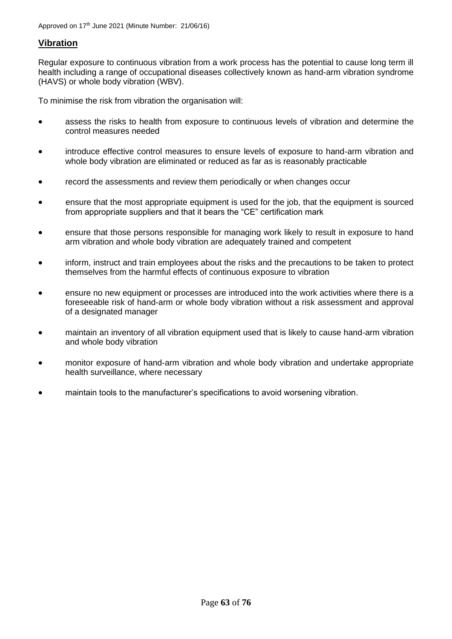# **Vibration**

Regular exposure to continuous vibration from a work process has the potential to cause long term ill health including a range of occupational diseases collectively known as hand-arm vibration syndrome (HAVS) or whole body vibration (WBV).

To minimise the risk from vibration the organisation will:

- assess the risks to health from exposure to continuous levels of vibration and determine the control measures needed
- introduce effective control measures to ensure levels of exposure to hand-arm vibration and whole body vibration are eliminated or reduced as far as is reasonably practicable
- record the assessments and review them periodically or when changes occur
- ensure that the most appropriate equipment is used for the job, that the equipment is sourced from appropriate suppliers and that it bears the "CE" certification mark
- ensure that those persons responsible for managing work likely to result in exposure to hand arm vibration and whole body vibration are adequately trained and competent
- inform, instruct and train employees about the risks and the precautions to be taken to protect themselves from the harmful effects of continuous exposure to vibration
- ensure no new equipment or processes are introduced into the work activities where there is a foreseeable risk of hand-arm or whole body vibration without a risk assessment and approval of a designated manager
- maintain an inventory of all vibration equipment used that is likely to cause hand-arm vibration and whole body vibration
- monitor exposure of hand-arm vibration and whole body vibration and undertake appropriate health surveillance, where necessary
- maintain tools to the manufacturer's specifications to avoid worsening vibration.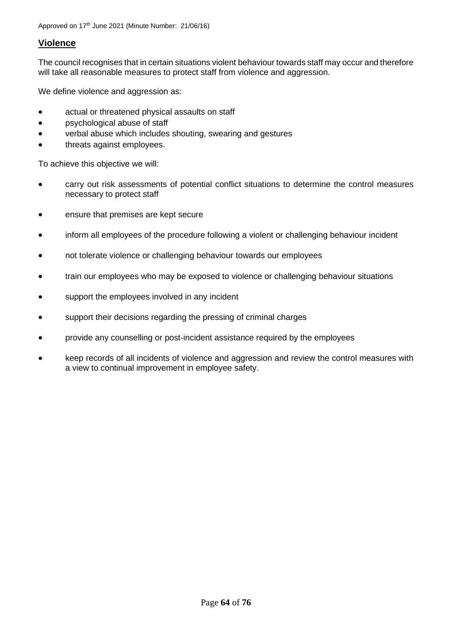# **Violence**

The council recognises that in certain situations violent behaviour towards staff may occur and therefore will take all reasonable measures to protect staff from violence and aggression.

We define violence and aggression as:

- actual or threatened physical assaults on staff
- psychological abuse of staff
- verbal abuse which includes shouting, swearing and gestures
- threats against employees.

To achieve this objective we will:

- carry out risk assessments of potential conflict situations to determine the control measures necessary to protect staff
- ensure that premises are kept secure
- inform all employees of the procedure following a violent or challenging behaviour incident
- not tolerate violence or challenging behaviour towards our employees
- train our employees who may be exposed to violence or challenging behaviour situations
- support the employees involved in any incident
- support their decisions regarding the pressing of criminal charges
- provide any counselling or post-incident assistance required by the employees
- keep records of all incidents of violence and aggression and review the control measures with a view to continual improvement in employee safety.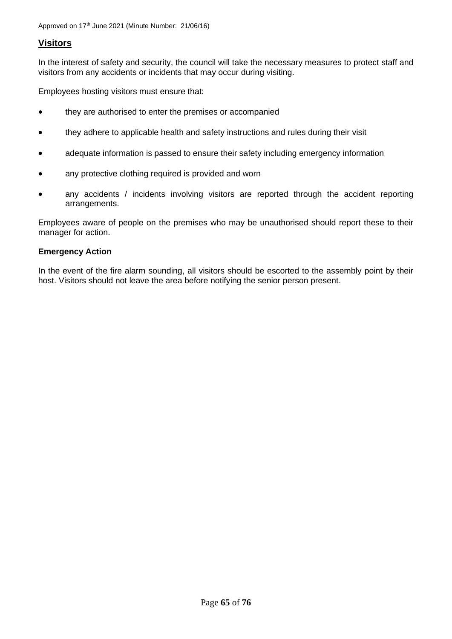# **Visitors**

In the interest of safety and security, the council will take the necessary measures to protect staff and visitors from any accidents or incidents that may occur during visiting.

Employees hosting visitors must ensure that:

- they are authorised to enter the premises or accompanied
- they adhere to applicable health and safety instructions and rules during their visit
- adequate information is passed to ensure their safety including emergency information
- any protective clothing required is provided and worn
- any accidents / incidents involving visitors are reported through the accident reporting arrangements.

Employees aware of people on the premises who may be unauthorised should report these to their manager for action.

# **Emergency Action**

In the event of the fire alarm sounding, all visitors should be escorted to the assembly point by their host. Visitors should not leave the area before notifying the senior person present.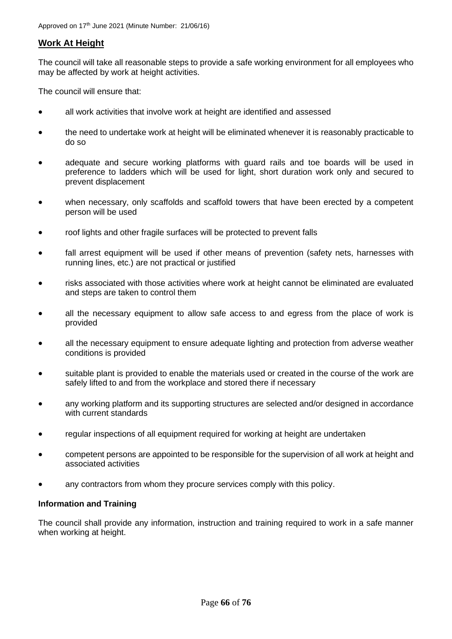# **Work At Height**

The council will take all reasonable steps to provide a safe working environment for all employees who may be affected by work at height activities.

The council will ensure that:

- all work activities that involve work at height are identified and assessed
- the need to undertake work at height will be eliminated whenever it is reasonably practicable to do so
- adequate and secure working platforms with guard rails and toe boards will be used in preference to ladders which will be used for light, short duration work only and secured to prevent displacement
- when necessary, only scaffolds and scaffold towers that have been erected by a competent person will be used
- roof lights and other fragile surfaces will be protected to prevent falls
- fall arrest equipment will be used if other means of prevention (safety nets, harnesses with running lines, etc.) are not practical or justified
- risks associated with those activities where work at height cannot be eliminated are evaluated and steps are taken to control them
- all the necessary equipment to allow safe access to and egress from the place of work is provided
- all the necessary equipment to ensure adequate lighting and protection from adverse weather conditions is provided
- suitable plant is provided to enable the materials used or created in the course of the work are safely lifted to and from the workplace and stored there if necessary
- any working platform and its supporting structures are selected and/or designed in accordance with current standards
- regular inspections of all equipment required for working at height are undertaken
- competent persons are appointed to be responsible for the supervision of all work at height and associated activities
- any contractors from whom they procure services comply with this policy.

## **Information and Training**

The council shall provide any information, instruction and training required to work in a safe manner when working at height.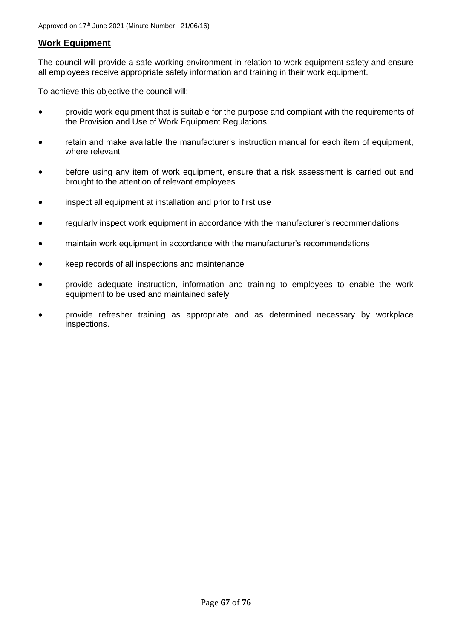# **Work Equipment**

The council will provide a safe working environment in relation to work equipment safety and ensure all employees receive appropriate safety information and training in their work equipment.

To achieve this objective the council will:

- provide work equipment that is suitable for the purpose and compliant with the requirements of the Provision and Use of Work Equipment Regulations
- retain and make available the manufacturer's instruction manual for each item of equipment, where relevant
- before using any item of work equipment, ensure that a risk assessment is carried out and brought to the attention of relevant employees
- inspect all equipment at installation and prior to first use
- regularly inspect work equipment in accordance with the manufacturer's recommendations
- maintain work equipment in accordance with the manufacturer's recommendations
- keep records of all inspections and maintenance
- provide adequate instruction, information and training to employees to enable the work equipment to be used and maintained safely
- provide refresher training as appropriate and as determined necessary by workplace inspections.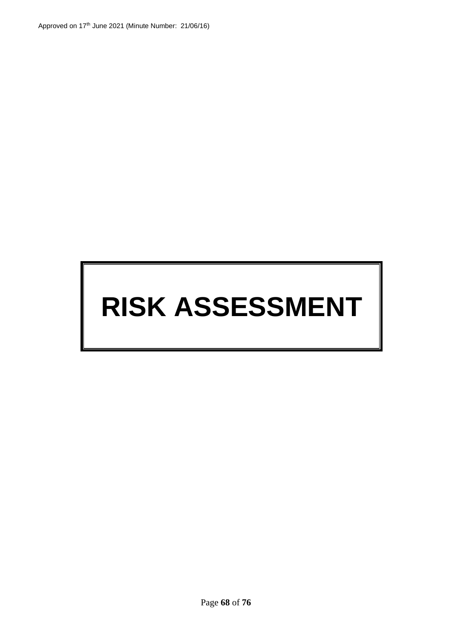# **RISK ASSESSMENT**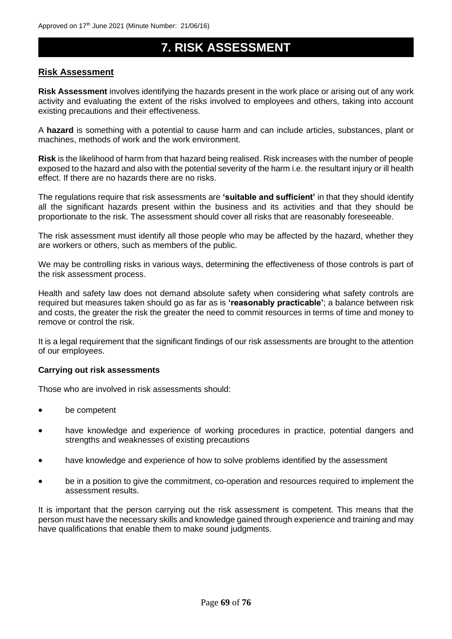# **7. RISK ASSESSMENT**

# **Risk Assessment**

**Risk Assessment** involves identifying the hazards present in the work place or arising out of any work activity and evaluating the extent of the risks involved to employees and others, taking into account existing precautions and their effectiveness.

A **hazard** is something with a potential to cause harm and can include articles, substances, plant or machines, methods of work and the work environment.

**Risk** is the likelihood of harm from that hazard being realised. Risk increases with the number of people exposed to the hazard and also with the potential severity of the harm i.e. the resultant injury or ill health effect. If there are no hazards there are no risks.

The regulations require that risk assessments are **'suitable and sufficient'** in that they should identify all the significant hazards present within the business and its activities and that they should be proportionate to the risk. The assessment should cover all risks that are reasonably foreseeable.

The risk assessment must identify all those people who may be affected by the hazard, whether they are workers or others, such as members of the public.

We may be controlling risks in various ways, determining the effectiveness of those controls is part of the risk assessment process.

Health and safety law does not demand absolute safety when considering what safety controls are required but measures taken should go as far as is **'reasonably practicable'**; a balance between risk and costs, the greater the risk the greater the need to commit resources in terms of time and money to remove or control the risk.

It is a legal requirement that the significant findings of our risk assessments are brought to the attention of our employees.

#### **Carrying out risk assessments**

Those who are involved in risk assessments should:

- be competent
- have knowledge and experience of working procedures in practice, potential dangers and strengths and weaknesses of existing precautions
- have knowledge and experience of how to solve problems identified by the assessment
- be in a position to give the commitment, co-operation and resources required to implement the assessment results.

It is important that the person carrying out the risk assessment is competent. This means that the person must have the necessary skills and knowledge gained through experience and training and may have qualifications that enable them to make sound judgments.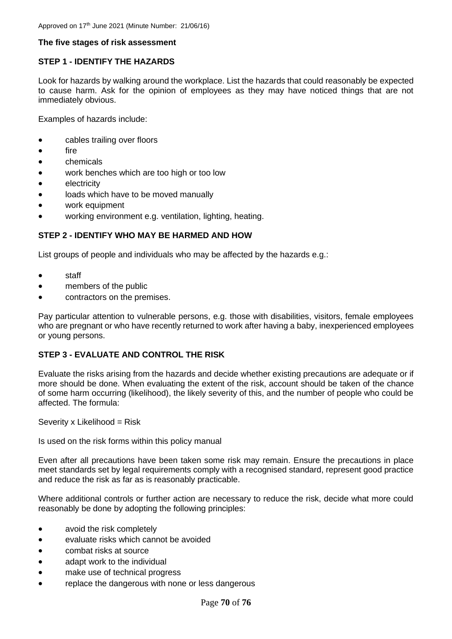## **The five stages of risk assessment**

# **STEP 1 - IDENTIFY THE HAZARDS**

Look for hazards by walking around the workplace. List the hazards that could reasonably be expected to cause harm. Ask for the opinion of employees as they may have noticed things that are not immediately obvious.

Examples of hazards include:

- cables trailing over floors
- fire
- chemicals
- work benches which are too high or too low
- **electricity**
- loads which have to be moved manually
- work equipment
- working environment e.g. ventilation, lighting, heating.

## **STEP 2 - IDENTIFY WHO MAY BE HARMED AND HOW**

List groups of people and individuals who may be affected by the hazards e.g.:

- staff
- members of the public
- contractors on the premises.

Pay particular attention to vulnerable persons, e.g. those with disabilities, visitors, female employees who are pregnant or who have recently returned to work after having a baby, inexperienced employees or young persons.

## **STEP 3 - EVALUATE AND CONTROL THE RISK**

Evaluate the risks arising from the hazards and decide whether existing precautions are adequate or if more should be done. When evaluating the extent of the risk, account should be taken of the chance of some harm occurring (likelihood), the likely severity of this, and the number of people who could be affected. The formula:

Severity x Likelihood = Risk

Is used on the risk forms within this policy manual

Even after all precautions have been taken some risk may remain. Ensure the precautions in place meet standards set by legal requirements comply with a recognised standard, represent good practice and reduce the risk as far as is reasonably practicable.

Where additional controls or further action are necessary to reduce the risk, decide what more could reasonably be done by adopting the following principles:

- avoid the risk completely
- evaluate risks which cannot be avoided
- combat risks at source
- adapt work to the individual
- make use of technical progress
- replace the dangerous with none or less dangerous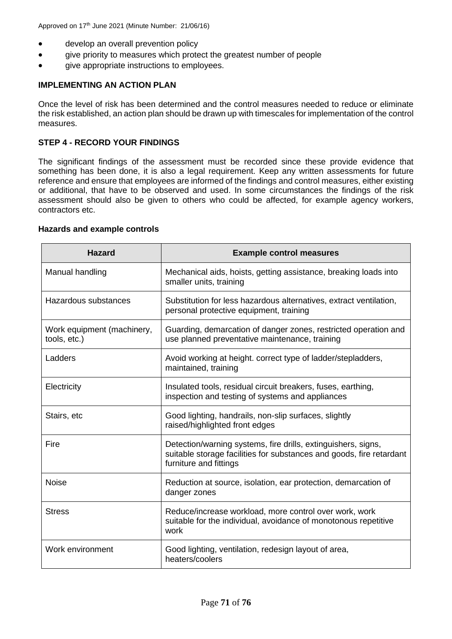- develop an overall prevention policy
- give priority to measures which protect the greatest number of people
- give appropriate instructions to employees.

## **IMPLEMENTING AN ACTION PLAN**

Once the level of risk has been determined and the control measures needed to reduce or eliminate the risk established, an action plan should be drawn up with timescales for implementation of the control measures.

## **STEP 4 - RECORD YOUR FINDINGS**

The significant findings of the assessment must be recorded since these provide evidence that something has been done, it is also a legal requirement. Keep any written assessments for future reference and ensure that employees are informed of the findings and control measures, either existing or additional, that have to be observed and used. In some circumstances the findings of the risk assessment should also be given to others who could be affected, for example agency workers, contractors etc.

#### **Hazards and example controls**

| <b>Hazard</b>                              | <b>Example control measures</b>                                                                                                                                 |
|--------------------------------------------|-----------------------------------------------------------------------------------------------------------------------------------------------------------------|
| Manual handling                            | Mechanical aids, hoists, getting assistance, breaking loads into<br>smaller units, training                                                                     |
| Hazardous substances                       | Substitution for less hazardous alternatives, extract ventilation,<br>personal protective equipment, training                                                   |
| Work equipment (machinery,<br>tools, etc.) | Guarding, demarcation of danger zones, restricted operation and<br>use planned preventative maintenance, training                                               |
| Ladders                                    | Avoid working at height. correct type of ladder/stepladders,<br>maintained, training                                                                            |
| Electricity                                | Insulated tools, residual circuit breakers, fuses, earthing,<br>inspection and testing of systems and appliances                                                |
| Stairs, etc                                | Good lighting, handrails, non-slip surfaces, slightly<br>raised/highlighted front edges                                                                         |
| Fire                                       | Detection/warning systems, fire drills, extinguishers, signs,<br>suitable storage facilities for substances and goods, fire retardant<br>furniture and fittings |
| <b>Noise</b>                               | Reduction at source, isolation, ear protection, demarcation of<br>danger zones                                                                                  |
| <b>Stress</b>                              | Reduce/increase workload, more control over work, work<br>suitable for the individual, avoidance of monotonous repetitive<br>work                               |
| Work environment                           | Good lighting, ventilation, redesign layout of area,<br>heaters/coolers                                                                                         |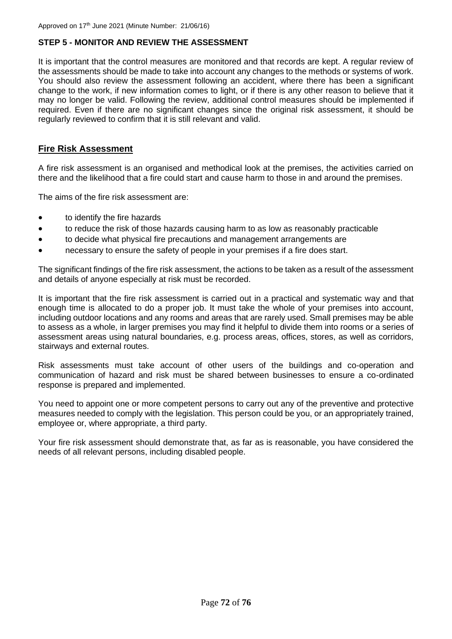# **STEP 5 - MONITOR AND REVIEW THE ASSESSMENT**

It is important that the control measures are monitored and that records are kept. A regular review of the assessments should be made to take into account any changes to the methods or systems of work. You should also review the assessment following an accident, where there has been a significant change to the work, if new information comes to light, or if there is any other reason to believe that it may no longer be valid. Following the review, additional control measures should be implemented if required. Even if there are no significant changes since the original risk assessment, it should be regularly reviewed to confirm that it is still relevant and valid.

# **Fire Risk Assessment**

A fire risk assessment is an organised and methodical look at the premises, the activities carried on there and the likelihood that a fire could start and cause harm to those in and around the premises.

The aims of the fire risk assessment are:

- to identify the fire hazards
- to reduce the risk of those hazards causing harm to as low as reasonably practicable
- to decide what physical fire precautions and management arrangements are
- necessary to ensure the safety of people in your premises if a fire does start.

The significant findings of the fire risk assessment, the actions to be taken as a result of the assessment and details of anyone especially at risk must be recorded.

It is important that the fire risk assessment is carried out in a practical and systematic way and that enough time is allocated to do a proper job. It must take the whole of your premises into account, including outdoor locations and any rooms and areas that are rarely used. Small premises may be able to assess as a whole, in larger premises you may find it helpful to divide them into rooms or a series of assessment areas using natural boundaries, e.g. process areas, offices, stores, as well as corridors, stairways and external routes.

Risk assessments must take account of other users of the buildings and co-operation and communication of hazard and risk must be shared between businesses to ensure a co-ordinated response is prepared and implemented.

You need to appoint one or more competent persons to carry out any of the preventive and protective measures needed to comply with the legislation. This person could be you, or an appropriately trained, employee or, where appropriate, a third party.

Your fire risk assessment should demonstrate that, as far as is reasonable, you have considered the needs of all relevant persons, including disabled people.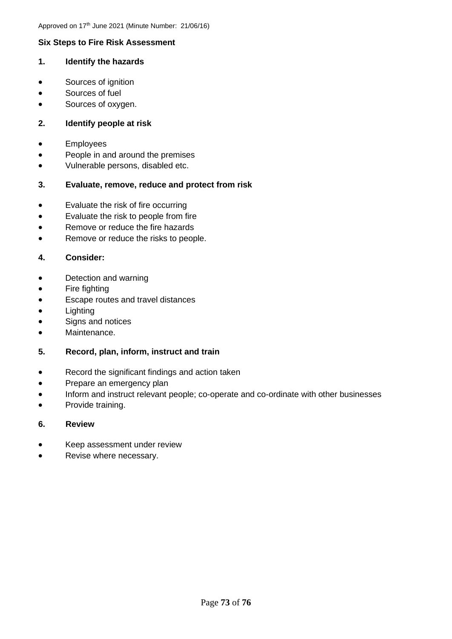# **Six Steps to Fire Risk Assessment**

### **1. Identify the hazards**

- Sources of ignition
- Sources of fuel
- Sources of oxygen.

# **2. Identify people at risk**

- Employees
- People in and around the premises
- Vulnerable persons, disabled etc.

# **3. Evaluate, remove, reduce and protect from risk**

- Evaluate the risk of fire occurring
- Evaluate the risk to people from fire
- Remove or reduce the fire hazards
- Remove or reduce the risks to people.

# **4. Consider:**

- Detection and warning
- Fire fighting
- Escape routes and travel distances
- Lighting
- Signs and notices
- Maintenance.

#### **5. Record, plan, inform, instruct and train**

- Record the significant findings and action taken
- Prepare an emergency plan
- Inform and instruct relevant people; co-operate and co-ordinate with other businesses
- Provide training.

#### **6. Review**

- Keep assessment under review
- Revise where necessary.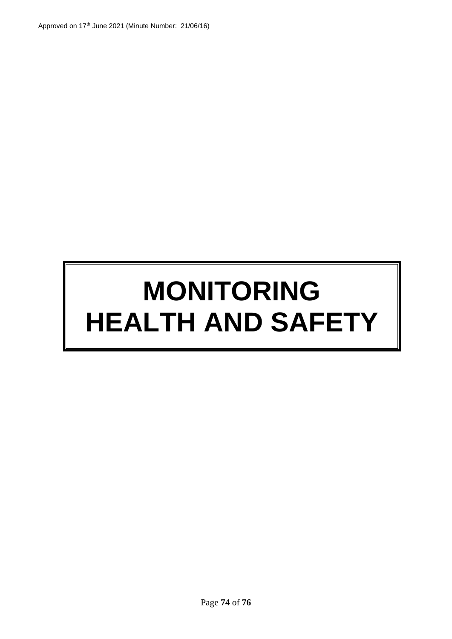# **MONITORING HEALTH AND SAFETY**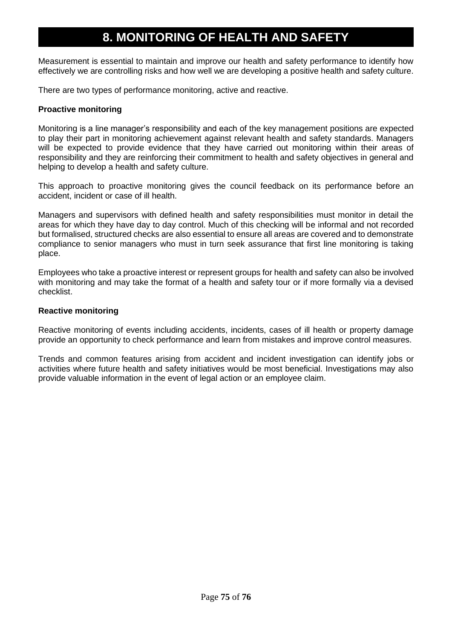# **8. MONITORING OF HEALTH AND SAFETY**

Measurement is essential to maintain and improve our health and safety performance to identify how effectively we are controlling risks and how well we are developing a positive health and safety culture.

There are two types of performance monitoring, active and reactive.

# **Proactive monitoring**

Monitoring is a line manager's responsibility and each of the key management positions are expected to play their part in monitoring achievement against relevant health and safety standards. Managers will be expected to provide evidence that they have carried out monitoring within their areas of responsibility and they are reinforcing their commitment to health and safety objectives in general and helping to develop a health and safety culture.

This approach to proactive monitoring gives the council feedback on its performance before an accident, incident or case of ill health.

Managers and supervisors with defined health and safety responsibilities must monitor in detail the areas for which they have day to day control. Much of this checking will be informal and not recorded but formalised, structured checks are also essential to ensure all areas are covered and to demonstrate compliance to senior managers who must in turn seek assurance that first line monitoring is taking place.

Employees who take a proactive interest or represent groups for health and safety can also be involved with monitoring and may take the format of a health and safety tour or if more formally via a devised checklist.

#### **Reactive monitoring**

Reactive monitoring of events including accidents, incidents, cases of ill health or property damage provide an opportunity to check performance and learn from mistakes and improve control measures.

Trends and common features arising from accident and incident investigation can identify jobs or activities where future health and safety initiatives would be most beneficial. Investigations may also provide valuable information in the event of legal action or an employee claim.